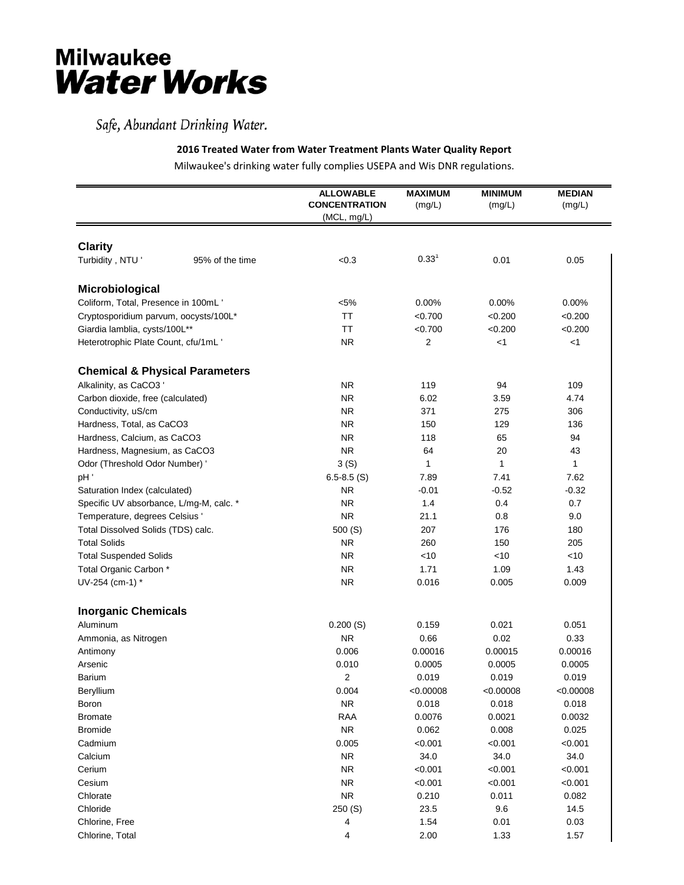## **Milwaukee Water Works**

## Safe, Abundant Drinking Water.

## **2016 Treated Water from Water Treatment Plants Water Quality Report**

Milwaukee's drinking water fully complies USEPA and Wis DNR regulations.

|                                           |                 | <b>ALLOWABLE</b><br><b>CONCENTRATION</b><br>(MCL, mg/L) | <b>MAXIMUM</b><br>(mg/L) | <b>MINIMUM</b><br>(mg/L) | <b>MEDIAN</b><br>(mg/L) |
|-------------------------------------------|-----------------|---------------------------------------------------------|--------------------------|--------------------------|-------------------------|
|                                           |                 |                                                         |                          |                          |                         |
| <b>Clarity</b>                            |                 |                                                         |                          |                          |                         |
| Turbidity, NTU'                           | 95% of the time | < 0.3                                                   | $0.33^{1}$               | 0.01                     | 0.05                    |
| Microbiological                           |                 |                                                         |                          |                          |                         |
| Coliform, Total, Presence in 100mL'       |                 | $< 5\%$                                                 | 0.00%                    | 0.00%                    | 0.00%                   |
| Cryptosporidium parvum, oocysts/100L*     |                 | <b>TT</b>                                               | < 0.700                  | < 0.200                  | < 0.200                 |
| Giardia lamblia, cysts/100L**             |                 | <b>TT</b>                                               | < 0.700                  | < 0.200                  | < 0.200                 |
| Heterotrophic Plate Count, cfu/1mL'       |                 | <b>NR</b>                                               | 2                        | $<$ 1                    | $<$ 1                   |
| <b>Chemical &amp; Physical Parameters</b> |                 |                                                         |                          |                          |                         |
| Alkalinity, as CaCO3                      |                 | <b>NR</b>                                               | 119                      | 94                       | 109                     |
| Carbon dioxide, free (calculated)         |                 | <b>NR</b>                                               | 6.02                     | 3.59                     | 4.74                    |
| Conductivity, uS/cm                       |                 | <b>NR</b>                                               | 371                      | 275                      | 306                     |
| Hardness, Total, as CaCO3                 |                 | <b>NR</b>                                               | 150                      | 129                      | 136                     |
| Hardness, Calcium, as CaCO3               |                 | <b>NR</b>                                               | 118                      | 65                       | 94                      |
| Hardness, Magnesium, as CaCO3             |                 | <b>NR</b>                                               | 64                       | 20                       | 43                      |
| Odor (Threshold Odor Number) '            |                 | 3(S)                                                    | 1                        | $\mathbf{1}$             | 1                       |
| pH'                                       |                 | $6.5 - 8.5$ (S)                                         | 7.89                     | 7.41                     | 7.62                    |
| Saturation Index (calculated)             |                 | <b>NR</b>                                               | $-0.01$                  | $-0.52$                  | $-0.32$                 |
| Specific UV absorbance, L/mg-M, calc. *   |                 | <b>NR</b>                                               | 1.4                      | 0.4                      | 0.7                     |
| Temperature, degrees Celsius '            |                 | <b>NR</b>                                               | 21.1                     | 0.8                      | 9.0                     |
| Total Dissolved Solids (TDS) calc.        |                 | 500(S)                                                  | 207                      | 176                      | 180                     |
| <b>Total Solids</b>                       |                 | <b>NR</b>                                               | 260                      | 150                      | 205                     |
| <b>Total Suspended Solids</b>             |                 | <b>NR</b>                                               | $<$ 10                   | <10                      | <10                     |
| Total Organic Carbon *                    |                 | <b>NR</b>                                               | 1.71                     | 1.09                     | 1.43                    |
| UV-254 (cm-1) *                           |                 | <b>NR</b>                                               | 0.016                    | 0.005                    | 0.009                   |
| <b>Inorganic Chemicals</b>                |                 |                                                         |                          |                          |                         |
| Aluminum                                  |                 | 0.200(S)                                                | 0.159                    | 0.021                    | 0.051                   |
| Ammonia, as Nitrogen                      |                 | <b>NR</b>                                               | 0.66                     | 0.02                     | 0.33                    |
| Antimony                                  |                 | 0.006                                                   | 0.00016                  | 0.00015                  | 0.00016                 |
| Arsenic                                   |                 | 0.010                                                   | 0.0005                   | 0.0005                   | 0.0005                  |
| Barium                                    |                 | $\overline{2}$                                          | 0.019                    | 0.019                    | 0.019                   |
| Beryllium                                 |                 | 0.004                                                   | < 0.00008                | < 0.00008                | < 0.00008               |
| Boron                                     |                 | <b>NR</b>                                               | 0.018                    | 0.018                    | 0.018                   |
| <b>Bromate</b>                            |                 | <b>RAA</b>                                              | 0.0076                   | 0.0021                   | 0.0032                  |
| <b>Bromide</b>                            |                 | ${\sf NR}$                                              | 0.062                    | 0.008                    | 0.025                   |
| Cadmium                                   |                 | 0.005                                                   | < 0.001                  | < 0.001                  | < 0.001                 |
| Calcium                                   |                 | <b>NR</b>                                               | 34.0                     | 34.0                     | 34.0                    |
| Cerium                                    |                 | <b>NR</b>                                               | < 0.001                  | < 0.001                  | < 0.001                 |
| Cesium                                    |                 | <b>NR</b>                                               | < 0.001                  | < 0.001                  | < 0.001                 |
| Chlorate                                  |                 | <b>NR</b>                                               | 0.210                    | 0.011                    | 0.082                   |
| Chloride                                  |                 | 250 (S)                                                 | 23.5                     | 9.6                      | 14.5                    |
| Chlorine, Free                            |                 | 4                                                       | 1.54                     | 0.01                     | 0.03                    |
| Chlorine, Total                           |                 | 4                                                       | 2.00                     | 1.33                     | 1.57                    |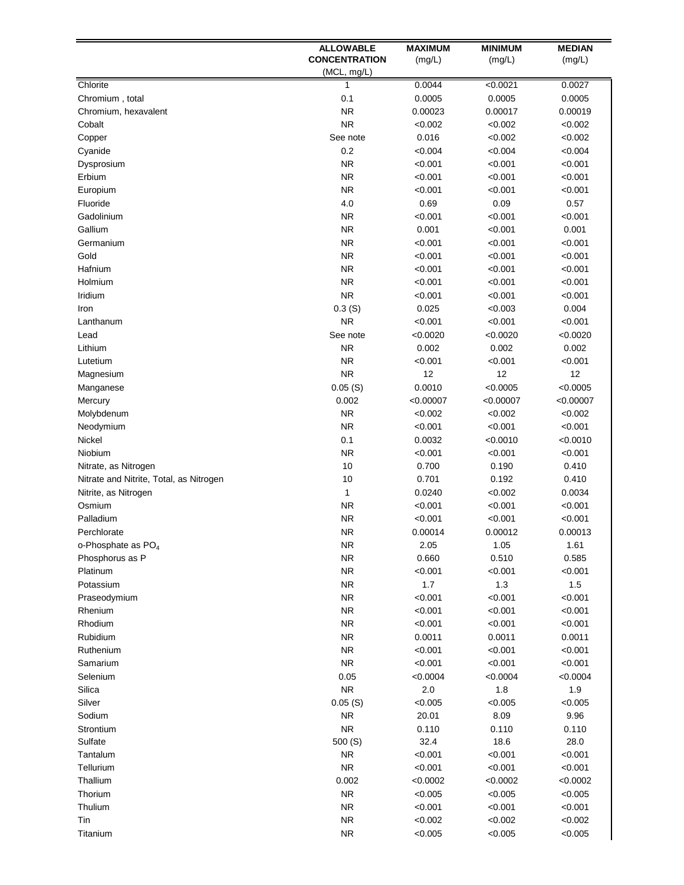|                                         | <b>ALLOWABLE</b>     | <b>MAXIMUM</b>  | <b>MINIMUM</b>  | <b>MEDIAN</b>   |
|-----------------------------------------|----------------------|-----------------|-----------------|-----------------|
|                                         | <b>CONCENTRATION</b> | (mg/L)          | (mg/L)          | (mg/L)          |
|                                         | (MCL, mg/L)          |                 |                 |                 |
| Chlorite                                | 1                    | 0.0044          | < 0.0021        | 0.0027          |
| Chromium, total                         | 0.1                  | 0.0005          | 0.0005          | 0.0005          |
| Chromium, hexavalent                    | <b>NR</b>            | 0.00023         | 0.00017         | 0.00019         |
| Cobalt                                  | <b>NR</b>            | < 0.002         | < 0.002         | < 0.002         |
| Copper                                  | See note             | 0.016           | < 0.002         | < 0.002         |
| Cyanide                                 | 0.2<br><b>NR</b>     | < 0.004         | < 0.004         | < 0.004         |
| Dysprosium                              | <b>NR</b>            | < 0.001         | < 0.001         | < 0.001         |
| Erbium                                  | <b>NR</b>            | < 0.001         | < 0.001         | < 0.001         |
| Europium<br>Fluoride                    | 4.0                  | < 0.001<br>0.69 | < 0.001<br>0.09 | < 0.001<br>0.57 |
| Gadolinium                              | <b>NR</b>            | < 0.001         | < 0.001         | < 0.001         |
| Gallium                                 | <b>NR</b>            | 0.001           | < 0.001         | 0.001           |
| Germanium                               | <b>NR</b>            | < 0.001         | < 0.001         | < 0.001         |
| Gold                                    | <b>NR</b>            | < 0.001         | < 0.001         | < 0.001         |
| Hafnium                                 | <b>NR</b>            | < 0.001         | < 0.001         | < 0.001         |
| Holmium                                 | <b>NR</b>            | < 0.001         | < 0.001         | < 0.001         |
| Iridium                                 | <b>NR</b>            | < 0.001         | < 0.001         | < 0.001         |
| Iron                                    | 0.3(S)               | 0.025           | < 0.003         | 0.004           |
| Lanthanum                               | <b>NR</b>            | < 0.001         | < 0.001         | < 0.001         |
| Lead                                    | See note             | < 0.0020        | < 0.0020        | < 0.0020        |
| Lithium                                 | <b>NR</b>            | 0.002           | 0.002           | 0.002           |
| Lutetium                                | <b>NR</b>            | < 0.001         | < 0.001         | < 0.001         |
| Magnesium                               | <b>NR</b>            | 12              | 12              | 12              |
| Manganese                               | 0.05(S)              | 0.0010          | < 0.0005        | < 0.0005        |
| Mercury                                 | 0.002                | < 0.00007       | < 0.00007       | < 0.00007       |
| Molybdenum                              | <b>NR</b>            | < 0.002         | < 0.002         | < 0.002         |
| Neodymium                               | <b>NR</b>            | < 0.001         | < 0.001         | < 0.001         |
| Nickel                                  | 0.1                  | 0.0032          | < 0.0010        | < 0.0010        |
| Niobium                                 | <b>NR</b>            | < 0.001         | < 0.001         | < 0.001         |
| Nitrate, as Nitrogen                    | 10                   | 0.700           | 0.190           | 0.410           |
| Nitrate and Nitrite, Total, as Nitrogen | 10                   | 0.701           | 0.192           | 0.410           |
| Nitrite, as Nitrogen                    | 1                    | 0.0240          | < 0.002         | 0.0034          |
| Osmium                                  | <b>NR</b>            | < 0.001         | < 0.001         | < 0.001         |
| Palladium                               | <b>NR</b>            | < 0.001         | < 0.001         | < 0.001         |
| Perchlorate                             | <b>NR</b>            | 0.00014         | 0.00012         | 0.00013         |
| o-Phosphate as $PO4$                    | NR.                  | 2.05            | 1.05            | 1.61            |
| Phosphorus as P                         | ${\sf NR}$           | 0.660           | 0.510           | 0.585           |
| Platinum                                | ${\sf NR}$           | < 0.001         | < 0.001         | < 0.001         |
| Potassium                               | ${\sf NR}$           | $1.7$           | $1.3$           | $1.5$           |
| Praseodymium                            | ${\sf NR}$           | < 0.001         | < 0.001         | < 0.001         |
| Rhenium                                 | ${\sf NR}$           | < 0.001         | < 0.001         | < 0.001         |
| Rhodium                                 | ${\sf NR}$           | < 0.001         | < 0.001         | < 0.001         |
| Rubidium                                | <b>NR</b>            | 0.0011          | 0.0011          | 0.0011          |
| Ruthenium                               | <b>NR</b>            | < 0.001         | < 0.001         | < 0.001         |
| Samarium                                | <b>NR</b>            | < 0.001         | < 0.001         | < 0.001         |
| Selenium                                | 0.05                 | < 0.0004        | < 0.0004        | < 0.0004        |
| Silica                                  | <b>NR</b>            | 2.0             | 1.8             | 1.9             |
| Silver                                  | 0.05(S)              | < 0.005         | < 0.005         | < 0.005         |
| Sodium                                  | <b>NR</b>            | 20.01           | 8.09            | 9.96            |
| Strontium                               | ${\sf NR}$           | 0.110           | 0.110           | 0.110           |
| Sulfate                                 | 500(S)               | 32.4            | 18.6            | 28.0            |
| Tantalum                                | <b>NR</b>            | < 0.001         | < 0.001         | < 0.001         |
| Tellurium                               | <b>NR</b>            | < 0.001         | < 0.001         | < 0.001         |
| Thallium                                | 0.002                | < 0.0002        | < 0.0002        | < 0.0002        |
| Thorium                                 | <b>NR</b>            | < 0.005         | < 0.005         | < 0.005         |
| Thulium                                 | ${\sf NR}$           | < 0.001         | < 0.001         | < 0.001         |
| Tin                                     | <b>NR</b>            | < 0.002         | < 0.002         | < 0.002         |
| Titanium                                | ${\sf NR}$           | < 0.005         | < 0.005         | < 0.005         |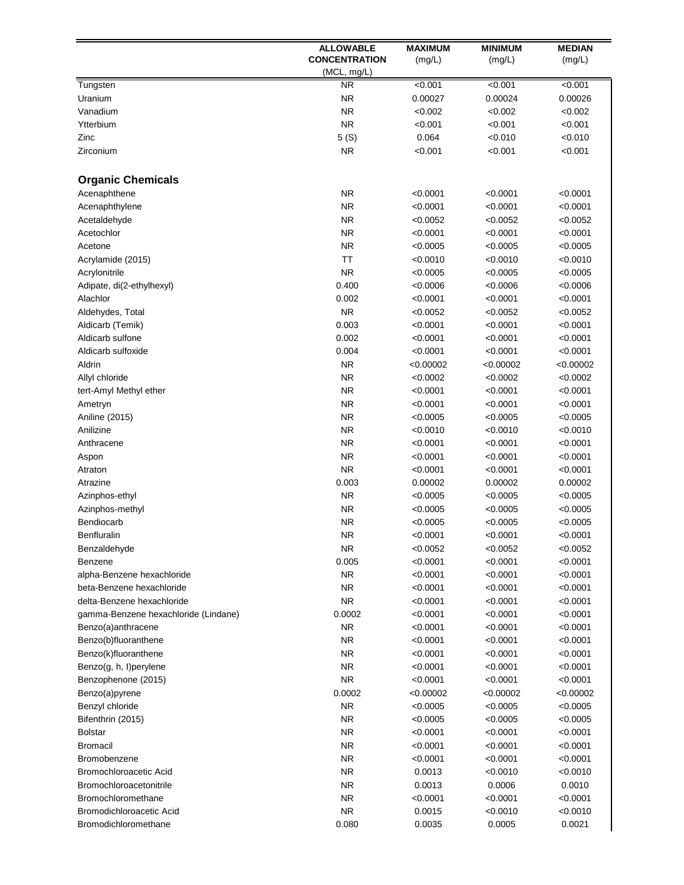|                                      | <b>ALLOWABLE</b>     | <b>MAXIMUM</b> | <b>MINIMUM</b> | <b>MEDIAN</b> |
|--------------------------------------|----------------------|----------------|----------------|---------------|
|                                      | <b>CONCENTRATION</b> | (mg/L)         | (mg/L)         | (mg/L)        |
|                                      | (MCL, mg/L)          |                |                |               |
| Tungsten                             | <b>NR</b>            | < 0.001        | < 0.001        | < 0.001       |
| Uranium                              | <b>NR</b>            | 0.00027        | 0.00024        | 0.00026       |
| Vanadium                             | <b>NR</b>            | < 0.002        | < 0.002        | < 0.002       |
| Ytterbium                            | <b>NR</b>            | < 0.001        | < 0.001        | < 0.001       |
| Zinc                                 | 5(S)                 | 0.064          | < 0.010        | < 0.010       |
| Zirconium                            | <b>NR</b>            | < 0.001        | < 0.001        | < 0.001       |
| <b>Organic Chemicals</b>             |                      |                |                |               |
| Acenaphthene                         | <b>NR</b>            | < 0.0001       | < 0.0001       | < 0.0001      |
| Acenaphthylene                       | <b>NR</b>            | < 0.0001       | < 0.0001       | < 0.0001      |
| Acetaldehyde                         | <b>NR</b>            | < 0.0052       | < 0.0052       | < 0.0052      |
| Acetochlor                           | <b>NR</b>            | < 0.0001       | < 0.0001       | < 0.0001      |
| Acetone                              | <b>NR</b>            | < 0.0005       | < 0.0005       | < 0.0005      |
| Acrylamide (2015)                    | <b>TT</b>            | < 0.0010       | < 0.0010       | < 0.0010      |
| Acrylonitrile                        | <b>NR</b>            | < 0.0005       | < 0.0005       | < 0.0005      |
| Adipate, di(2-ethylhexyl)            | 0.400                | < 0.0006       | < 0.0006       | < 0.0006      |
| Alachlor                             | 0.002                | < 0.0001       | < 0.0001       | < 0.0001      |
| Aldehydes, Total                     | <b>NR</b>            | < 0.0052       | < 0.0052       | < 0.0052      |
| Aldicarb (Temik)                     | 0.003                | < 0.0001       | < 0.0001       | < 0.0001      |
| Aldicarb sulfone                     | 0.002                | < 0.0001       | < 0.0001       | < 0.0001      |
| Aldicarb sulfoxide                   | 0.004                | < 0.0001       | < 0.0001       | < 0.0001      |
| Aldrin                               | <b>NR</b>            | < 0.00002      | < 0.00002      | < 0.00002     |
| Allyl chloride                       | <b>NR</b>            | < 0.0002       | < 0.0002       | < 0.0002      |
| tert-Amyl Methyl ether               | <b>NR</b>            | < 0.0001       | < 0.0001       | < 0.0001      |
| Ametryn                              | <b>NR</b>            | <0.0001        | < 0.0001       | < 0.0001      |
| Aniline (2015)                       | <b>NR</b>            | < 0.0005       | < 0.0005       | < 0.0005      |
| Anilizine                            | <b>NR</b>            | <0.0010        | < 0.0010       | < 0.0010      |
| Anthracene                           | <b>NR</b>            | <0.0001        | < 0.0001       | < 0.0001      |
| Aspon                                | <b>NR</b>            | < 0.0001       | < 0.0001       | < 0.0001      |
| Atraton                              | <b>NR</b>            | < 0.0001       | < 0.0001       | < 0.0001      |
| Atrazine                             | 0.003                | 0.00002        | 0.00002        | 0.00002       |
| Azinphos-ethyl                       | <b>NR</b>            | < 0.0005       | < 0.0005       | < 0.0005      |
| Azinphos-methyl                      | <b>NR</b>            | <0.0005        | < 0.0005       | < 0.0005      |
| Bendiocarb                           | <b>NR</b>            | < 0.0005       | < 0.0005       | < 0.0005      |
| Benfluralin                          | <b>NR</b>            | < 0.0001       | < 0.0001       | < 0.0001      |
| Benzaldehyde                         | <b>NR</b>            | < 0.0052       | < 0.0052       | < 0.0052      |
| Benzene                              | 0.005                | < 0.0001       | < 0.0001       | < 0.0001      |
| alpha-Benzene hexachloride           | <b>NR</b>            | < 0.0001       | < 0.0001       | < 0.0001      |
| beta-Benzene hexachloride            | <b>NR</b>            | <0.0001        | < 0.0001       | < 0.0001      |
| delta-Benzene hexachloride           | <b>NR</b>            | <0.0001        | < 0.0001       | < 0.0001      |
| gamma-Benzene hexachloride (Lindane) | 0.0002               | < 0.0001       | < 0.0001       | < 0.0001      |
| Benzo(a)anthracene                   | <b>NR</b>            | < 0.0001       | < 0.0001       | < 0.0001      |
| Benzo(b)fluoranthene                 | <b>NR</b>            | < 0.0001       | < 0.0001       | < 0.0001      |
| Benzo(k)fluoranthene                 | <b>NR</b>            | < 0.0001       | < 0.0001       | < 0.0001      |
| Benzo(g, h, l)perylene               | <b>NR</b>            | < 0.0001       | < 0.0001       | < 0.0001      |
| Benzophenone (2015)                  | <b>NR</b>            | < 0.0001       | < 0.0001       | < 0.0001      |
| Benzo(a)pyrene                       | 0.0002               | < 0.00002      | < 0.00002      | < 0.00002     |
| Benzyl chloride                      | <b>NR</b>            | < 0.0005       | < 0.0005       | < 0.0005      |
| Bifenthrin (2015)                    | <b>NR</b>            | <0.0005        | < 0.0005       | < 0.0005      |
| <b>Bolstar</b>                       | <b>NR</b>            | <0.0001        | < 0.0001       | < 0.0001      |
| <b>Bromacil</b>                      | <b>NR</b>            | <0.0001        | < 0.0001       | < 0.0001      |
| Bromobenzene                         | <b>NR</b>            | <0.0001        | < 0.0001       | < 0.0001      |
| Bromochloroacetic Acid               | <b>NR</b>            | 0.0013         | < 0.0010       | < 0.0010      |
| Bromochloroacetonitrile              | <b>NR</b>            | 0.0013         | 0.0006         | 0.0010        |
| Bromochloromethane                   | <b>NR</b>            | <0.0001        | <0.0001        | < 0.0001      |
| Bromodichloroacetic Acid             | <b>NR</b>            | 0.0015         | < 0.0010       | < 0.0010      |
| Bromodichloromethane                 | 0.080                | 0.0035         | 0.0005         | 0.0021        |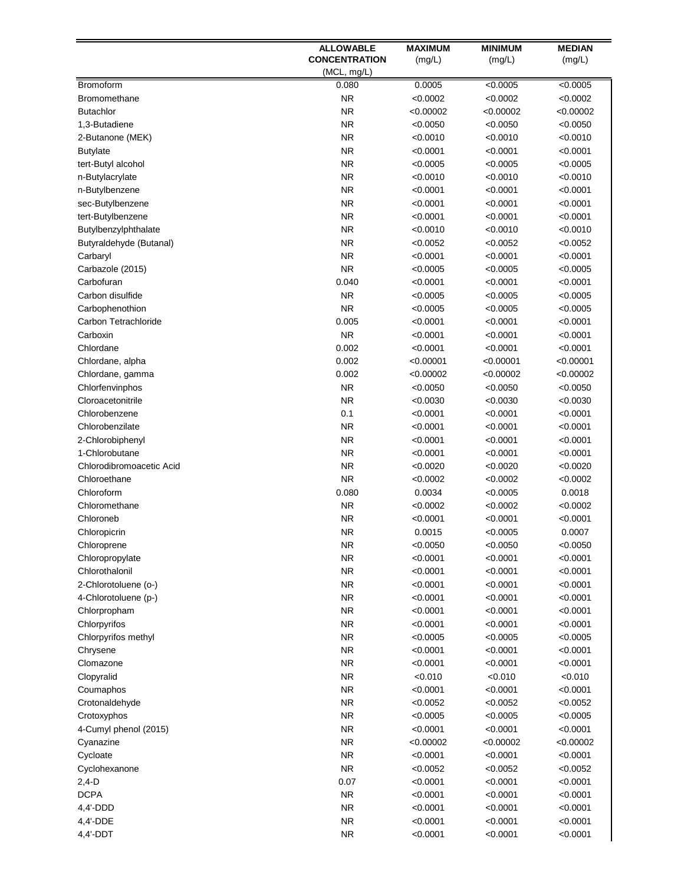|                                | <b>ALLOWABLE</b>       | <b>MAXIMUM</b>       | <b>MINIMUM</b>       | <b>MEDIAN</b>        |
|--------------------------------|------------------------|----------------------|----------------------|----------------------|
|                                | <b>CONCENTRATION</b>   | (mg/L)               | (mg/L)               | (mg/L)               |
|                                | (MCL, mg/L)            |                      |                      |                      |
| <b>Bromoform</b>               | 0.080                  | 0.0005               | < 0.0005             | < 0.0005             |
| <b>Bromomethane</b>            | <b>NR</b>              | < 0.0002             | < 0.0002             | < 0.0002             |
| <b>Butachlor</b>               | <b>NR</b>              | < 0.00002            | < 0.00002            | < 0.00002            |
| 1,3-Butadiene                  | <b>NR</b>              | < 0.0050             | < 0.0050             | < 0.0050             |
| 2-Butanone (MEK)               | <b>NR</b>              | < 0.0010             | < 0.0010             | < 0.0010             |
| <b>Butylate</b>                | <b>NR</b>              | < 0.0001             | < 0.0001             | < 0.0001             |
| tert-Butyl alcohol             | <b>NR</b>              | <0.0005              | < 0.0005             | < 0.0005             |
| n-Butylacrylate                | <b>NR</b>              | < 0.0010             | < 0.0010             | < 0.0010             |
| n-Butylbenzene                 | <b>NR</b>              | < 0.0001             | < 0.0001             | < 0.0001             |
| sec-Butylbenzene               | <b>NR</b>              | <0.0001              | < 0.0001             | < 0.0001             |
| tert-Butylbenzene              | <b>NR</b>              | <0.0001              | < 0.0001             | < 0.0001             |
| Butylbenzylphthalate           | <b>NR</b>              | < 0.0010             | < 0.0010             | < 0.0010             |
| Butyraldehyde (Butanal)        | <b>NR</b>              | < 0.0052             | < 0.0052             | < 0.0052             |
| Carbaryl                       | <b>NR</b><br><b>NR</b> | < 0.0001<br>< 0.0005 | < 0.0001             | < 0.0001             |
| Carbazole (2015)<br>Carbofuran | 0.040                  | < 0.0001             | < 0.0005             | < 0.0005             |
| Carbon disulfide               | <b>NR</b>              | <0.0005              | < 0.0001<br>< 0.0005 | < 0.0001<br>< 0.0005 |
| Carbophenothion                | <b>NR</b>              | < 0.0005             | < 0.0005             | < 0.0005             |
| Carbon Tetrachloride           | 0.005                  | < 0.0001             | < 0.0001             | < 0.0001             |
| Carboxin                       | <b>NR</b>              | < 0.0001             | < 0.0001             | < 0.0001             |
| Chlordane                      | 0.002                  | < 0.0001             | < 0.0001             | < 0.0001             |
| Chlordane, alpha               | 0.002                  | < 0.00001            | < 0.00001            | < 0.00001            |
| Chlordane, gamma               | 0.002                  | < 0.00002            | < 0.00002            | < 0.00002            |
| Chlorfenvinphos                | <b>NR</b>              | < 0.0050             | < 0.0050             | < 0.0050             |
| Cloroacetonitrile              | <b>NR</b>              | < 0.0030             | < 0.0030             | < 0.0030             |
| Chlorobenzene                  | 0.1                    | < 0.0001             | < 0.0001             | < 0.0001             |
| Chlorobenzilate                | <b>NR</b>              | < 0.0001             | < 0.0001             | < 0.0001             |
| 2-Chlorobiphenyl               | <b>NR</b>              | < 0.0001             | < 0.0001             | < 0.0001             |
| 1-Chlorobutane                 | <b>NR</b>              | < 0.0001             | < 0.0001             | < 0.0001             |
| Chlorodibromoacetic Acid       | <b>NR</b>              | < 0.0020             | < 0.0020             | < 0.0020             |
| Chloroethane                   | <b>NR</b>              | < 0.0002             | < 0.0002             | < 0.0002             |
| Chloroform                     | 0.080                  | 0.0034               | < 0.0005             | 0.0018               |
| Chloromethane                  | <b>NR</b>              | <0.0002              | < 0.0002             | < 0.0002             |
| Chloroneb                      | <b>NR</b>              | < 0.0001             | < 0.0001             | < 0.0001             |
| Chloropicrin                   | <b>NR</b>              | 0.0015               | < 0.0005             | 0.0007               |
| Chloroprene                    | NR.                    | <0.0050              | < 0.0050             | < 0.0050             |
| Chloropropylate                | <b>NR</b>              | < 0.0001             | < 0.0001             | < 0.0001             |
| Chlorothalonil                 | <b>NR</b>              | < 0.0001             | < 0.0001             | < 0.0001             |
| 2-Chlorotoluene (o-)           | <b>NR</b>              | <0.0001              | < 0.0001             | < 0.0001             |
| 4-Chlorotoluene (p-)           | <b>NR</b>              | < 0.0001             | < 0.0001             | < 0.0001             |
| Chlorpropham                   | <b>NR</b>              | < 0.0001             | < 0.0001             | < 0.0001             |
| Chlorpyrifos                   | <b>NR</b>              | <0.0001              | < 0.0001             | < 0.0001             |
| Chlorpyrifos methyl            | <b>NR</b>              | < 0.0005             | < 0.0005             | < 0.0005             |
| Chrysene                       | <b>NR</b>              | < 0.0001             | < 0.0001             | < 0.0001             |
| Clomazone                      | <b>NR</b>              | < 0.0001             | < 0.0001             | < 0.0001             |
| Clopyralid                     | <b>NR</b>              | < 0.010              | < 0.010              | < 0.010              |
| Coumaphos                      | <b>NR</b>              | <0.0001              | < 0.0001             | < 0.0001             |
| Crotonaldehyde                 | ΝR                     | < 0.0052             | < 0.0052             | < 0.0052             |
| Crotoxyphos                    | <b>NR</b>              | < 0.0005             | < 0.0005             | < 0.0005             |
| 4-Cumyl phenol (2015)          | <b>NR</b>              | < 0.0001             | < 0.0001             | < 0.0001             |
| Cyanazine                      | <b>NR</b>              | < 0.00002            | < 0.00002            | < 0.00002            |
| Cycloate                       | <b>NR</b>              | < 0.0001             | < 0.0001             | < 0.0001             |
| Cyclohexanone                  | <b>NR</b>              | < 0.0052             | < 0.0052             | < 0.0052             |
| $2,4-D$                        | 0.07                   | < 0.0001             | < 0.0001             | < 0.0001             |
| <b>DCPA</b>                    | <b>NR</b>              | < 0.0001             | < 0.0001             | < 0.0001             |
| $4,4'$ -DDD                    | <b>NR</b>              | < 0.0001             | < 0.0001             | < 0.0001             |
| 4,4'-DDE                       | <b>NR</b>              | < 0.0001             | < 0.0001             | < 0.0001             |
| $4,4'$ -DDT                    | <b>NR</b>              | < 0.0001             | < 0.0001             | < 0.0001             |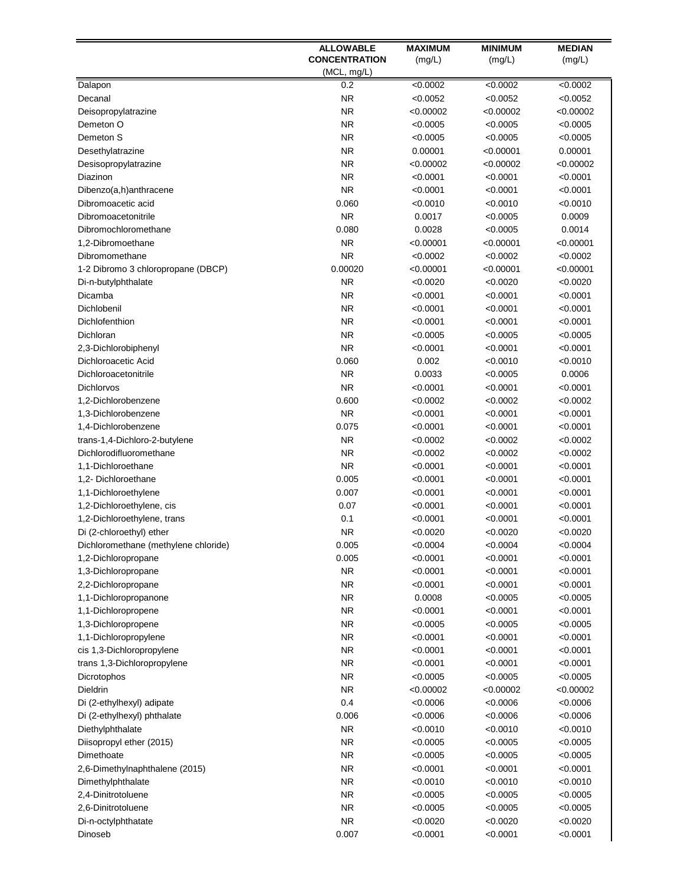|                                      | <b>ALLOWABLE</b>     | <b>MAXIMUM</b> | <b>MINIMUM</b> | <b>MEDIAN</b> |
|--------------------------------------|----------------------|----------------|----------------|---------------|
|                                      | <b>CONCENTRATION</b> | (mg/L)         | (mg/L)         | (mg/L)        |
|                                      | (MCL, mg/L)          |                |                |               |
| Dalapon                              | 0.2                  | < 0.0002       | < 0.0002       | < 0.0002      |
| Decanal                              | <b>NR</b>            | < 0.0052       | < 0.0052       | < 0.0052      |
| Deisopropylatrazine                  | <b>NR</b>            | < 0.00002      | < 0.00002      | < 0.00002     |
| Demeton O                            | <b>NR</b>            | < 0.0005       | < 0.0005       | < 0.0005      |
| Demeton S                            | <b>NR</b>            | < 0.0005       | < 0.0005       | < 0.0005      |
| Desethylatrazine                     | <b>NR</b>            | 0.00001        | < 0.00001      | 0.00001       |
| Desisopropylatrazine                 | <b>NR</b>            | < 0.00002      | < 0.00002      | < 0.00002     |
| Diazinon                             | <b>NR</b>            | < 0.0001       | < 0.0001       | < 0.0001      |
| Dibenzo(a,h)anthracene               | <b>NR</b>            | < 0.0001       | < 0.0001       | < 0.0001      |
| Dibromoacetic acid                   | 0.060                | <0.0010        | < 0.0010       | < 0.0010      |
| Dibromoacetonitrile                  | <b>NR</b>            | 0.0017         | < 0.0005       | 0.0009        |
| Dibromochloromethane                 | 0.080                | 0.0028         | < 0.0005       | 0.0014        |
| 1,2-Dibromoethane                    | <b>NR</b>            | < 0.00001      | < 0.00001      | < 0.00001     |
| Dibromomethane                       | <b>NR</b>            | < 0.0002       | < 0.0002       | < 0.0002      |
| 1-2 Dibromo 3 chloropropane (DBCP)   | 0.00020              | < 0.00001      | < 0.00001      | < 0.00001     |
| Di-n-butylphthalate                  | <b>NR</b>            | < 0.0020       | < 0.0020       | < 0.0020      |
| Dicamba                              | <b>NR</b>            | < 0.0001       | < 0.0001       | < 0.0001      |
| Dichlobenil                          | <b>NR</b>            | <0.0001        | < 0.0001       | < 0.0001      |
| Dichlofenthion                       | <b>NR</b>            | <0.0001        | < 0.0001       | < 0.0001      |
| Dichloran                            | <b>NR</b>            | < 0.0005       | < 0.0005       | < 0.0005      |
| 2,3-Dichlorobiphenyl                 | <b>NR</b>            | < 0.0001       | < 0.0001       | < 0.0001      |
| Dichloroacetic Acid                  | 0.060                | 0.002          | < 0.0010       | < 0.0010      |
| Dichloroacetonitrile                 | <b>NR</b>            | 0.0033         | < 0.0005       | 0.0006        |
| <b>Dichlorvos</b>                    | N <sub>R</sub>       | < 0.0001       | < 0.0001       | < 0.0001      |
| 1,2-Dichlorobenzene                  | 0.600                | < 0.0002       | < 0.0002       | < 0.0002      |
| 1,3-Dichlorobenzene                  | <b>NR</b>            | < 0.0001       | < 0.0001       | < 0.0001      |
| 1,4-Dichlorobenzene                  | 0.075                | < 0.0001       | < 0.0001       | < 0.0001      |
| trans-1,4-Dichloro-2-butylene        | <b>NR</b>            | < 0.0002       | < 0.0002       | < 0.0002      |
| Dichlorodifluoromethane              | <b>NR</b>            | < 0.0002       | < 0.0002       | < 0.0002      |
| 1,1-Dichloroethane                   | <b>NR</b>            | < 0.0001       | < 0.0001       | < 0.0001      |
| 1,2- Dichloroethane                  | 0.005                | < 0.0001       | < 0.0001       | < 0.0001      |
| 1,1-Dichloroethylene                 | 0.007                | < 0.0001       | < 0.0001       | < 0.0001      |
| 1,2-Dichloroethylene, cis            | 0.07                 | < 0.0001       | < 0.0001       | < 0.0001      |
| 1,2-Dichloroethylene, trans          | 0.1                  | < 0.0001       | < 0.0001       | < 0.0001      |
| Di (2-chloroethyl) ether             | <b>NR</b>            | < 0.0020       | < 0.0020       | < 0.0020      |
| Dichloromethane (methylene chloride) | 0.005                | < 0.0004       | < 0.0004       | < 0.0004      |
| 1,2-Dichloropropane                  | 0.005                | < 0.0001       | < 0.0001       | < 0.0001      |
| 1,3-Dichloropropane                  | <b>NR</b>            | <0.0001        | < 0.0001       | < 0.0001      |
| 2,2-Dichloropropane                  | <b>NR</b>            | <0.0001        | < 0.0001       | < 0.0001      |
| 1,1-Dichloropropanone                | <b>NR</b>            | 0.0008         | < 0.0005       | < 0.0005      |
| 1,1-Dichloropropene                  | <b>NR</b>            | < 0.0001       | < 0.0001       | < 0.0001      |
| 1,3-Dichloropropene                  | <b>NR</b>            | < 0.0005       | < 0.0005       | < 0.0005      |
| 1,1-Dichloropropylene                | <b>NR</b>            | < 0.0001       | < 0.0001       | < 0.0001      |
| cis 1,3-Dichloropropylene            | <b>NR</b>            | <0.0001        | < 0.0001       | < 0.0001      |
| trans 1,3-Dichloropropylene          | <b>NR</b>            | <0.0001        | < 0.0001       | < 0.0001      |
| Dicrotophos                          | <b>NR</b>            | < 0.0005       | < 0.0005       | < 0.0005      |
| Dieldrin                             | <b>NR</b>            | <0.00002       | < 0.00002      | <0.00002      |
| Di (2-ethylhexyl) adipate            | 0.4                  | < 0.0006       | < 0.0006       | < 0.0006      |
| Di (2-ethylhexyl) phthalate          | 0.006                | < 0.0006       | < 0.0006       | < 0.0006      |
| Diethylphthalate                     | <b>NR</b>            | <0.0010        | < 0.0010       | < 0.0010      |
| Diisopropyl ether (2015)             | <b>NR</b>            | < 0.0005       | < 0.0005       | < 0.0005      |
| Dimethoate                           | <b>NR</b>            | < 0.0005       | < 0.0005       | < 0.0005      |
| 2,6-Dimethylnaphthalene (2015)       | <b>NR</b>            | < 0.0001       | < 0.0001       | < 0.0001      |
| Dimethylphthalate                    | <b>NR</b>            | < 0.0010       | < 0.0010       | < 0.0010      |
| 2,4-Dinitrotoluene                   | <b>NR</b>            | < 0.0005       | < 0.0005       | < 0.0005      |
| 2,6-Dinitrotoluene                   | <b>NR</b>            | < 0.0005       | < 0.0005       | < 0.0005      |
| Di-n-octylphthatate                  | <b>NR</b>            | < 0.0020       | < 0.0020       | < 0.0020      |
| Dinoseb                              | 0.007                | < 0.0001       | < 0.0001       | < 0.0001      |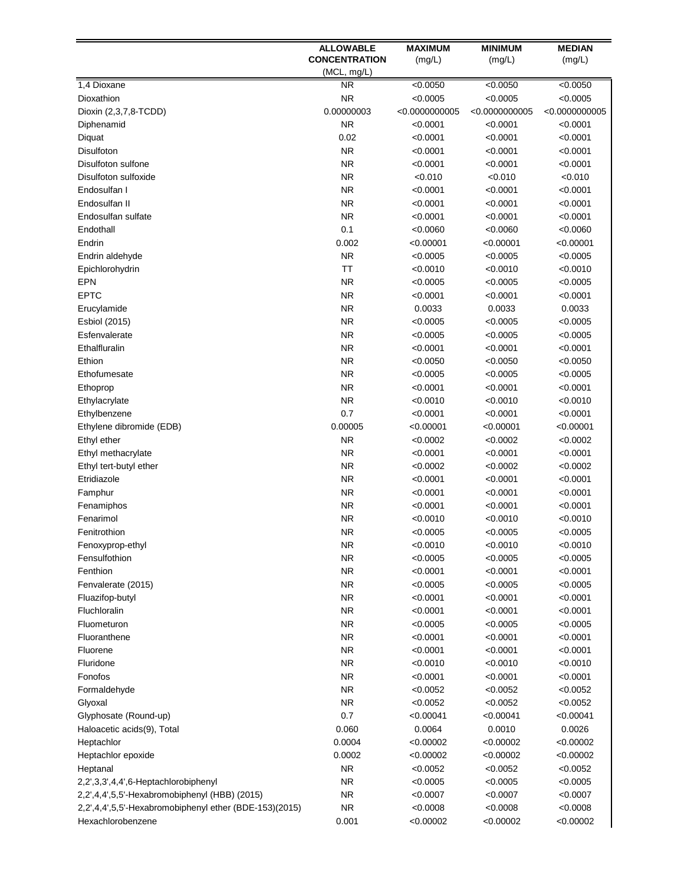|                                                        | <b>ALLOWABLE</b>     | <b>MAXIMUM</b> | <b>MINIMUM</b> | <b>MEDIAN</b>  |
|--------------------------------------------------------|----------------------|----------------|----------------|----------------|
|                                                        | <b>CONCENTRATION</b> | (mg/L)         | (mg/L)         | (mg/L)         |
|                                                        | (MCL, mg/L)          |                |                |                |
| 1,4 Dioxane                                            | <b>NR</b>            | < 0.0050       | < 0.0050       | < 0.0050       |
| Dioxathion                                             | <b>NR</b>            | < 0.0005       | < 0.0005       | < 0.0005       |
| Dioxin (2,3,7,8-TCDD)                                  | 0.00000003           | < 0.0000000005 | < 0.0000000005 | < 0.0000000005 |
| Diphenamid                                             | <b>NR</b>            | < 0.0001       | < 0.0001       | < 0.0001       |
| Diquat                                                 | 0.02                 | < 0.0001       | < 0.0001       | < 0.0001       |
| Disulfoton                                             | <b>NR</b>            | <0.0001        | < 0.0001       | < 0.0001       |
| Disulfoton sulfone                                     | <b>NR</b>            | <0.0001        | < 0.0001       | < 0.0001       |
| Disulfoton sulfoxide                                   | <b>NR</b>            | < 0.010        | < 0.010        | < 0.010        |
| Endosulfan I                                           | <b>NR</b>            | < 0.0001       | < 0.0001       | < 0.0001       |
| Endosulfan II                                          | <b>NR</b>            | <0.0001        | < 0.0001       | < 0.0001       |
| Endosulfan sulfate                                     | <b>NR</b>            | < 0.0001       | < 0.0001       | < 0.0001       |
| Endothall                                              | 0.1                  | < 0.0060       | < 0.0060       | < 0.0060       |
| Endrin                                                 | 0.002                | < 0.00001      | < 0.00001      | < 0.00001      |
| Endrin aldehyde                                        | <b>NR</b>            | < 0.0005       | < 0.0005       | < 0.0005       |
| Epichlorohydrin                                        | <b>TT</b>            | <0.0010        | < 0.0010       | < 0.0010       |
| <b>EPN</b>                                             | <b>NR</b>            | < 0.0005       | < 0.0005       | < 0.0005       |
| <b>EPTC</b>                                            | <b>NR</b>            | < 0.0001       | < 0.0001       | < 0.0001       |
| Erucylamide                                            | NR.                  | 0.0033         | 0.0033         | 0.0033         |
|                                                        |                      |                |                |                |
| Esbiol (2015)                                          | <b>NR</b>            | <0.0005        | < 0.0005       | < 0.0005       |
| Esfenvalerate                                          | <b>NR</b>            | <0.0005        | < 0.0005       | < 0.0005       |
| Ethalfluralin                                          | <b>NR</b>            | < 0.0001       | < 0.0001       | < 0.0001       |
| Ethion                                                 | <b>NR</b>            | < 0.0050       | < 0.0050       | < 0.0050       |
| Ethofumesate                                           | <b>NR</b>            | < 0.0005       | < 0.0005       | < 0.0005       |
| Ethoprop                                               | <b>NR</b>            | < 0.0001       | < 0.0001       | < 0.0001       |
| Ethylacrylate                                          | <b>NR</b>            | < 0.0010       | < 0.0010       | < 0.0010       |
| Ethylbenzene                                           | 0.7                  | < 0.0001       | < 0.0001       | < 0.0001       |
| Ethylene dibromide (EDB)                               | 0.00005              | < 0.00001      | < 0.00001      | < 0.00001      |
| Ethyl ether                                            | <b>NR</b>            | < 0.0002       | < 0.0002       | < 0.0002       |
| Ethyl methacrylate                                     | <b>NR</b>            | < 0.0001       | < 0.0001       | < 0.0001       |
| Ethyl tert-butyl ether                                 | <b>NR</b>            | < 0.0002       | < 0.0002       | < 0.0002       |
| Etridiazole                                            | <b>NR</b>            | <0.0001        | < 0.0001       | < 0.0001       |
| Famphur                                                | <b>NR</b>            | < 0.0001       | < 0.0001       | < 0.0001       |
| Fenamiphos                                             | <b>NR</b>            | <0.0001        | < 0.0001       | < 0.0001       |
| Fenarimol                                              | <b>NR</b>            | < 0.0010       | < 0.0010       | < 0.0010       |
| Fenitrothion                                           | <b>NR</b>            | < 0.0005       | < 0.0005       | < 0.0005       |
| Fenoxyprop-ethyl                                       | <b>NR</b>            | < 0.0010       | < 0.0010       | < 0.0010       |
| Fensulfothion                                          | <b>NR</b>            | < 0.0005       | < 0.0005       | < 0.0005       |
| Fenthion                                               | <b>NR</b>            | < 0.0001       | < 0.0001       | < 0.0001       |
| Fenvalerate (2015)                                     | <b>NR</b>            | < 0.0005       | < 0.0005       | < 0.0005       |
| Fluazifop-butyl                                        | <b>NR</b>            | <0.0001        | < 0.0001       | < 0.0001       |
| Fluchloralin                                           | <b>NR</b>            | <0.0001        | < 0.0001       | < 0.0001       |
| Fluometuron                                            | <b>NR</b>            | <0.0005        | < 0.0005       | < 0.0005       |
| Fluoranthene                                           | <b>NR</b>            | <0.0001        | < 0.0001       | < 0.0001       |
| Fluorene                                               | <b>NR</b>            | <0.0001        | < 0.0001       | < 0.0001       |
| Fluridone                                              | NR.                  | <0.0010        | < 0.0010       | < 0.0010       |
| Fonofos                                                | <b>NR</b>            | <0.0001        | < 0.0001       | < 0.0001       |
| Formaldehyde                                           | <b>NR</b>            | <0.0052        | < 0.0052       | < 0.0052       |
| Glyoxal                                                | <b>NR</b>            | < 0.0052       | < 0.0052       | < 0.0052       |
| Glyphosate (Round-up)                                  | 0.7                  | < 0.00041      | < 0.00041      | < 0.00041      |
| Haloacetic acids(9), Total                             | 0.060                | 0.0064         | 0.0010         | 0.0026         |
|                                                        | 0.0004               | < 0.00002      | < 0.00002      | < 0.00002      |
| Heptachlor                                             |                      |                |                |                |
| Heptachlor epoxide                                     | 0.0002               | < 0.00002      | < 0.00002      | < 0.00002      |
| Heptanal                                               | <b>NR</b>            | <0.0052        | < 0.0052       | < 0.0052       |
| 2,2',3,3',4,4',6-Heptachlorobiphenyl                   | <b>NR</b>            | < 0.0005       | < 0.0005       | < 0.0005       |
| 2,2',4,4',5,5'-Hexabromobiphenyl (HBB) (2015)          | <b>NR</b>            | < 0.0007       | < 0.0007       | < 0.0007       |
| 2,2',4,4',5,5'-Hexabromobiphenyl ether (BDE-153)(2015) | <b>NR</b>            | < 0.0008       | < 0.0008       | < 0.0008       |
| Hexachlorobenzene                                      | 0.001                | < 0.00002      | < 0.00002      | < 0.00002      |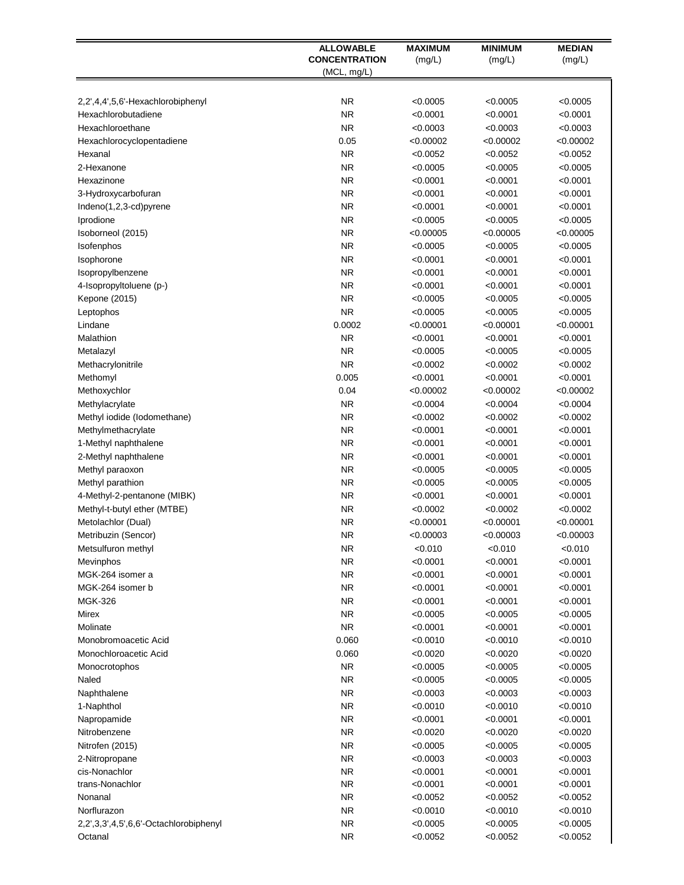| (mg/L)<br>(mg/L)<br>(mg/L)<br>(MCL, mg/L)<br><b>NR</b><br>< 0.0005<br>< 0.0005<br>< 0.0005<br>2,2',4,4',5,6'-Hexachlorobiphenyl<br><b>NR</b><br>< 0.0001<br>< 0.0001<br>< 0.0001<br>Hexachlorobutadiene<br><b>NR</b><br>Hexachloroethane<br>< 0.0003<br>< 0.0003<br>< 0.0003<br>0.05<br>< 0.00002<br>Hexachlorocyclopentadiene<br>< 0.00002<br>< 0.00002<br><b>NR</b><br>< 0.0052<br>Hexanal<br><0.0052<br>< 0.0052<br><b>NR</b><br>2-Hexanone<br>< 0.0005<br>< 0.0005<br>< 0.0005<br><b>NR</b><br>< 0.0001<br>< 0.0001<br>< 0.0001<br>Hexazinone<br><b>NR</b><br><0.0001<br>< 0.0001<br>< 0.0001<br>3-Hydroxycarbofuran<br><b>NR</b><br>Indeno(1,2,3-cd)pyrene<br><0.0001<br>< 0.0001<br>< 0.0001<br><b>NR</b><br>Iprodione<br>< 0.0005<br>< 0.0005<br>< 0.0005<br><b>NR</b><br>Isoborneol (2015)<br>< 0.00005<br>< 0.00005<br>< 0.00005<br><b>NR</b><br>< 0.0005<br>Isofenphos<br>< 0.0005<br>< 0.0005<br><b>NR</b><br>< 0.0001<br>< 0.0001<br>< 0.0001<br>Isophorone<br><b>NR</b><br>< 0.0001<br>< 0.0001<br>< 0.0001<br>Isopropylbenzene<br><b>NR</b><br>4-Isopropyltoluene (p-)<br>< 0.0001<br>< 0.0001<br>< 0.0001<br><b>NR</b><br>< 0.0005<br>< 0.0005<br>< 0.0005<br>Kepone (2015)<br><b>NR</b><br>< 0.0005<br>< 0.0005<br>< 0.0005<br>Leptophos<br>0.0002<br>Lindane<br>< 0.00001<br>< 0.00001<br>< 0.00001<br><b>NR</b><br>Malathion<br>< 0.0001<br>< 0.0001<br>< 0.0001<br><b>NR</b><br>< 0.0005<br>< 0.0005<br>< 0.0005<br>Metalazyl<br><b>NR</b><br>< 0.0002<br>< 0.0002<br>Methacrylonitrile<br>< 0.0002<br>0.005<br>< 0.0001<br>Methomyl<br><0.0001<br>< 0.0001<br>0.04<br>< 0.00002<br>Methoxychlor<br>< 0.00002<br>< 0.00002<br><b>NR</b><br>Methylacrylate<br><0.0004<br>< 0.0004<br>< 0.0004<br><b>NR</b><br>< 0.0002<br>Methyl iodide (Iodomethane)<br>< 0.0002<br>< 0.0002<br><b>NR</b><br>< 0.0001<br>Methylmethacrylate<br><0.0001<br>< 0.0001<br><b>NR</b><br>< 0.0001<br>1-Methyl naphthalene<br><0.0001<br>< 0.0001<br><b>NR</b><br>2-Methyl naphthalene<br><0.0001<br>< 0.0001<br>< 0.0001<br><b>NR</b><br>Methyl paraoxon<br><0.0005<br>< 0.0005<br>< 0.0005<br><b>NR</b><br>Methyl parathion<br><0.0005<br>< 0.0005<br>< 0.0005<br><b>NR</b><br>4-Methyl-2-pentanone (MIBK)<br><0.0001<br>< 0.0001<br>< 0.0001<br><b>NR</b><br>Methyl-t-butyl ether (MTBE)<br><0.0002<br>< 0.0002<br>< 0.0002<br><b>NR</b><br>Metolachlor (Dual)<br>< 0.00001<br>< 0.00001<br>< 0.00001<br>Metribuzin (Sencor)<br>ΝR<br>< 0.00003<br>< 0.00003<br>< 0.00003<br><b>NR</b><br>< 0.010<br>< 0.010<br>< 0.010<br>Metsulfuron methyl<br><b>NR</b><br>< 0.0001<br>< 0.0001<br>< 0.0001<br>Mevinphos<br><b>NR</b><br>< 0.0001<br>< 0.0001<br>MGK-264 isomer a<br><0.0001<br><b>NR</b><br>< 0.0001<br>< 0.0001<br>MGK-264 isomer b<br>< 0.0001<br><b>NR</b><br><b>MGK-326</b><br>< 0.0001<br>< 0.0001<br>< 0.0001<br><b>NR</b><br>Mirex<br>< 0.0005<br>< 0.0005<br>< 0.0005<br><b>NR</b><br>Molinate<br>< 0.0001<br>< 0.0001<br>< 0.0001<br>Monobromoacetic Acid<br>0.060<br>< 0.0010<br><0.0010<br>< 0.0010<br>0.060<br>< 0.0020<br>Monochloroacetic Acid<br><0.0020<br>< 0.0020<br><b>NR</b><br>< 0.0005<br>< 0.0005<br>< 0.0005<br>Monocrotophos<br><b>NR</b><br>< 0.0005<br>< 0.0005<br>< 0.0005<br>Naled<br><b>NR</b><br>Naphthalene<br><0.0003<br>< 0.0003<br>< 0.0003<br><b>NR</b><br>< 0.0010<br>< 0.0010<br>< 0.0010<br>1-Naphthol<br><b>NR</b><br>< 0.0001<br>Napropamide<br><0.0001<br>< 0.0001<br><b>NR</b><br>Nitrobenzene<br><0.0020<br>< 0.0020<br>< 0.0020<br><b>NR</b><br>Nitrofen (2015)<br><0.0005<br>< 0.0005<br>< 0.0005<br><b>NR</b><br><0.0003<br>< 0.0003<br>< 0.0003<br>2-Nitropropane<br><b>NR</b><br>cis-Nonachlor<br>< 0.0001<br><0.0001<br>< 0.0001<br><b>NR</b><br>trans-Nonachlor<br>< 0.0001<br>< 0.0001<br>< 0.0001<br><b>NR</b><br>Nonanal<br><0.0052<br>< 0.0052<br>< 0.0052<br>Norflurazon<br><b>NR</b><br><0.0010<br>< 0.0010<br>< 0.0010<br><b>NR</b><br>< 0.0005<br>< 0.0005<br>2,2',3,3',4,5',6,6'-Octachlorobiphenyl<br>< 0.0005<br><b>NR</b><br>< 0.0052<br>< 0.0052<br>Octanal<br>< 0.0052 | <b>ALLOWABLE</b>     | <b>MAXIMUM</b> | <b>MINIMUM</b> | <b>MEDIAN</b> |
|--------------------------------------------------------------------------------------------------------------------------------------------------------------------------------------------------------------------------------------------------------------------------------------------------------------------------------------------------------------------------------------------------------------------------------------------------------------------------------------------------------------------------------------------------------------------------------------------------------------------------------------------------------------------------------------------------------------------------------------------------------------------------------------------------------------------------------------------------------------------------------------------------------------------------------------------------------------------------------------------------------------------------------------------------------------------------------------------------------------------------------------------------------------------------------------------------------------------------------------------------------------------------------------------------------------------------------------------------------------------------------------------------------------------------------------------------------------------------------------------------------------------------------------------------------------------------------------------------------------------------------------------------------------------------------------------------------------------------------------------------------------------------------------------------------------------------------------------------------------------------------------------------------------------------------------------------------------------------------------------------------------------------------------------------------------------------------------------------------------------------------------------------------------------------------------------------------------------------------------------------------------------------------------------------------------------------------------------------------------------------------------------------------------------------------------------------------------------------------------------------------------------------------------------------------------------------------------------------------------------------------------------------------------------------------------------------------------------------------------------------------------------------------------------------------------------------------------------------------------------------------------------------------------------------------------------------------------------------------------------------------------------------------------------------------------------------------------------------------------------------------------------------------------------------------------------------------------------------------------------------------------------------------------------------------------------------------------------------------------------------------------------------------------------------------------------------------------------------------------------------------------------------------------------------------------------------------------------------------------------------------------------------------------------------------------------------------------------------------------------------------------------------------------------------------------------------------------------------------------------------------------------------------------------------------------------------------------------------------------------------------------------------------------------|----------------------|----------------|----------------|---------------|
|                                                                                                                                                                                                                                                                                                                                                                                                                                                                                                                                                                                                                                                                                                                                                                                                                                                                                                                                                                                                                                                                                                                                                                                                                                                                                                                                                                                                                                                                                                                                                                                                                                                                                                                                                                                                                                                                                                                                                                                                                                                                                                                                                                                                                                                                                                                                                                                                                                                                                                                                                                                                                                                                                                                                                                                                                                                                                                                                                                                                                                                                                                                                                                                                                                                                                                                                                                                                                                                                                                                                                                                                                                                                                                                                                                                                                                                                                                                                                                                                                                            | <b>CONCENTRATION</b> |                |                |               |
|                                                                                                                                                                                                                                                                                                                                                                                                                                                                                                                                                                                                                                                                                                                                                                                                                                                                                                                                                                                                                                                                                                                                                                                                                                                                                                                                                                                                                                                                                                                                                                                                                                                                                                                                                                                                                                                                                                                                                                                                                                                                                                                                                                                                                                                                                                                                                                                                                                                                                                                                                                                                                                                                                                                                                                                                                                                                                                                                                                                                                                                                                                                                                                                                                                                                                                                                                                                                                                                                                                                                                                                                                                                                                                                                                                                                                                                                                                                                                                                                                                            |                      |                |                |               |
|                                                                                                                                                                                                                                                                                                                                                                                                                                                                                                                                                                                                                                                                                                                                                                                                                                                                                                                                                                                                                                                                                                                                                                                                                                                                                                                                                                                                                                                                                                                                                                                                                                                                                                                                                                                                                                                                                                                                                                                                                                                                                                                                                                                                                                                                                                                                                                                                                                                                                                                                                                                                                                                                                                                                                                                                                                                                                                                                                                                                                                                                                                                                                                                                                                                                                                                                                                                                                                                                                                                                                                                                                                                                                                                                                                                                                                                                                                                                                                                                                                            |                      |                |                |               |
|                                                                                                                                                                                                                                                                                                                                                                                                                                                                                                                                                                                                                                                                                                                                                                                                                                                                                                                                                                                                                                                                                                                                                                                                                                                                                                                                                                                                                                                                                                                                                                                                                                                                                                                                                                                                                                                                                                                                                                                                                                                                                                                                                                                                                                                                                                                                                                                                                                                                                                                                                                                                                                                                                                                                                                                                                                                                                                                                                                                                                                                                                                                                                                                                                                                                                                                                                                                                                                                                                                                                                                                                                                                                                                                                                                                                                                                                                                                                                                                                                                            |                      |                |                |               |
|                                                                                                                                                                                                                                                                                                                                                                                                                                                                                                                                                                                                                                                                                                                                                                                                                                                                                                                                                                                                                                                                                                                                                                                                                                                                                                                                                                                                                                                                                                                                                                                                                                                                                                                                                                                                                                                                                                                                                                                                                                                                                                                                                                                                                                                                                                                                                                                                                                                                                                                                                                                                                                                                                                                                                                                                                                                                                                                                                                                                                                                                                                                                                                                                                                                                                                                                                                                                                                                                                                                                                                                                                                                                                                                                                                                                                                                                                                                                                                                                                                            |                      |                |                |               |
|                                                                                                                                                                                                                                                                                                                                                                                                                                                                                                                                                                                                                                                                                                                                                                                                                                                                                                                                                                                                                                                                                                                                                                                                                                                                                                                                                                                                                                                                                                                                                                                                                                                                                                                                                                                                                                                                                                                                                                                                                                                                                                                                                                                                                                                                                                                                                                                                                                                                                                                                                                                                                                                                                                                                                                                                                                                                                                                                                                                                                                                                                                                                                                                                                                                                                                                                                                                                                                                                                                                                                                                                                                                                                                                                                                                                                                                                                                                                                                                                                                            |                      |                |                |               |
|                                                                                                                                                                                                                                                                                                                                                                                                                                                                                                                                                                                                                                                                                                                                                                                                                                                                                                                                                                                                                                                                                                                                                                                                                                                                                                                                                                                                                                                                                                                                                                                                                                                                                                                                                                                                                                                                                                                                                                                                                                                                                                                                                                                                                                                                                                                                                                                                                                                                                                                                                                                                                                                                                                                                                                                                                                                                                                                                                                                                                                                                                                                                                                                                                                                                                                                                                                                                                                                                                                                                                                                                                                                                                                                                                                                                                                                                                                                                                                                                                                            |                      |                |                |               |
|                                                                                                                                                                                                                                                                                                                                                                                                                                                                                                                                                                                                                                                                                                                                                                                                                                                                                                                                                                                                                                                                                                                                                                                                                                                                                                                                                                                                                                                                                                                                                                                                                                                                                                                                                                                                                                                                                                                                                                                                                                                                                                                                                                                                                                                                                                                                                                                                                                                                                                                                                                                                                                                                                                                                                                                                                                                                                                                                                                                                                                                                                                                                                                                                                                                                                                                                                                                                                                                                                                                                                                                                                                                                                                                                                                                                                                                                                                                                                                                                                                            |                      |                |                |               |
|                                                                                                                                                                                                                                                                                                                                                                                                                                                                                                                                                                                                                                                                                                                                                                                                                                                                                                                                                                                                                                                                                                                                                                                                                                                                                                                                                                                                                                                                                                                                                                                                                                                                                                                                                                                                                                                                                                                                                                                                                                                                                                                                                                                                                                                                                                                                                                                                                                                                                                                                                                                                                                                                                                                                                                                                                                                                                                                                                                                                                                                                                                                                                                                                                                                                                                                                                                                                                                                                                                                                                                                                                                                                                                                                                                                                                                                                                                                                                                                                                                            |                      |                |                |               |
|                                                                                                                                                                                                                                                                                                                                                                                                                                                                                                                                                                                                                                                                                                                                                                                                                                                                                                                                                                                                                                                                                                                                                                                                                                                                                                                                                                                                                                                                                                                                                                                                                                                                                                                                                                                                                                                                                                                                                                                                                                                                                                                                                                                                                                                                                                                                                                                                                                                                                                                                                                                                                                                                                                                                                                                                                                                                                                                                                                                                                                                                                                                                                                                                                                                                                                                                                                                                                                                                                                                                                                                                                                                                                                                                                                                                                                                                                                                                                                                                                                            |                      |                |                |               |
|                                                                                                                                                                                                                                                                                                                                                                                                                                                                                                                                                                                                                                                                                                                                                                                                                                                                                                                                                                                                                                                                                                                                                                                                                                                                                                                                                                                                                                                                                                                                                                                                                                                                                                                                                                                                                                                                                                                                                                                                                                                                                                                                                                                                                                                                                                                                                                                                                                                                                                                                                                                                                                                                                                                                                                                                                                                                                                                                                                                                                                                                                                                                                                                                                                                                                                                                                                                                                                                                                                                                                                                                                                                                                                                                                                                                                                                                                                                                                                                                                                            |                      |                |                |               |
|                                                                                                                                                                                                                                                                                                                                                                                                                                                                                                                                                                                                                                                                                                                                                                                                                                                                                                                                                                                                                                                                                                                                                                                                                                                                                                                                                                                                                                                                                                                                                                                                                                                                                                                                                                                                                                                                                                                                                                                                                                                                                                                                                                                                                                                                                                                                                                                                                                                                                                                                                                                                                                                                                                                                                                                                                                                                                                                                                                                                                                                                                                                                                                                                                                                                                                                                                                                                                                                                                                                                                                                                                                                                                                                                                                                                                                                                                                                                                                                                                                            |                      |                |                |               |
|                                                                                                                                                                                                                                                                                                                                                                                                                                                                                                                                                                                                                                                                                                                                                                                                                                                                                                                                                                                                                                                                                                                                                                                                                                                                                                                                                                                                                                                                                                                                                                                                                                                                                                                                                                                                                                                                                                                                                                                                                                                                                                                                                                                                                                                                                                                                                                                                                                                                                                                                                                                                                                                                                                                                                                                                                                                                                                                                                                                                                                                                                                                                                                                                                                                                                                                                                                                                                                                                                                                                                                                                                                                                                                                                                                                                                                                                                                                                                                                                                                            |                      |                |                |               |
|                                                                                                                                                                                                                                                                                                                                                                                                                                                                                                                                                                                                                                                                                                                                                                                                                                                                                                                                                                                                                                                                                                                                                                                                                                                                                                                                                                                                                                                                                                                                                                                                                                                                                                                                                                                                                                                                                                                                                                                                                                                                                                                                                                                                                                                                                                                                                                                                                                                                                                                                                                                                                                                                                                                                                                                                                                                                                                                                                                                                                                                                                                                                                                                                                                                                                                                                                                                                                                                                                                                                                                                                                                                                                                                                                                                                                                                                                                                                                                                                                                            |                      |                |                |               |
|                                                                                                                                                                                                                                                                                                                                                                                                                                                                                                                                                                                                                                                                                                                                                                                                                                                                                                                                                                                                                                                                                                                                                                                                                                                                                                                                                                                                                                                                                                                                                                                                                                                                                                                                                                                                                                                                                                                                                                                                                                                                                                                                                                                                                                                                                                                                                                                                                                                                                                                                                                                                                                                                                                                                                                                                                                                                                                                                                                                                                                                                                                                                                                                                                                                                                                                                                                                                                                                                                                                                                                                                                                                                                                                                                                                                                                                                                                                                                                                                                                            |                      |                |                |               |
|                                                                                                                                                                                                                                                                                                                                                                                                                                                                                                                                                                                                                                                                                                                                                                                                                                                                                                                                                                                                                                                                                                                                                                                                                                                                                                                                                                                                                                                                                                                                                                                                                                                                                                                                                                                                                                                                                                                                                                                                                                                                                                                                                                                                                                                                                                                                                                                                                                                                                                                                                                                                                                                                                                                                                                                                                                                                                                                                                                                                                                                                                                                                                                                                                                                                                                                                                                                                                                                                                                                                                                                                                                                                                                                                                                                                                                                                                                                                                                                                                                            |                      |                |                |               |
|                                                                                                                                                                                                                                                                                                                                                                                                                                                                                                                                                                                                                                                                                                                                                                                                                                                                                                                                                                                                                                                                                                                                                                                                                                                                                                                                                                                                                                                                                                                                                                                                                                                                                                                                                                                                                                                                                                                                                                                                                                                                                                                                                                                                                                                                                                                                                                                                                                                                                                                                                                                                                                                                                                                                                                                                                                                                                                                                                                                                                                                                                                                                                                                                                                                                                                                                                                                                                                                                                                                                                                                                                                                                                                                                                                                                                                                                                                                                                                                                                                            |                      |                |                |               |
|                                                                                                                                                                                                                                                                                                                                                                                                                                                                                                                                                                                                                                                                                                                                                                                                                                                                                                                                                                                                                                                                                                                                                                                                                                                                                                                                                                                                                                                                                                                                                                                                                                                                                                                                                                                                                                                                                                                                                                                                                                                                                                                                                                                                                                                                                                                                                                                                                                                                                                                                                                                                                                                                                                                                                                                                                                                                                                                                                                                                                                                                                                                                                                                                                                                                                                                                                                                                                                                                                                                                                                                                                                                                                                                                                                                                                                                                                                                                                                                                                                            |                      |                |                |               |
|                                                                                                                                                                                                                                                                                                                                                                                                                                                                                                                                                                                                                                                                                                                                                                                                                                                                                                                                                                                                                                                                                                                                                                                                                                                                                                                                                                                                                                                                                                                                                                                                                                                                                                                                                                                                                                                                                                                                                                                                                                                                                                                                                                                                                                                                                                                                                                                                                                                                                                                                                                                                                                                                                                                                                                                                                                                                                                                                                                                                                                                                                                                                                                                                                                                                                                                                                                                                                                                                                                                                                                                                                                                                                                                                                                                                                                                                                                                                                                                                                                            |                      |                |                |               |
|                                                                                                                                                                                                                                                                                                                                                                                                                                                                                                                                                                                                                                                                                                                                                                                                                                                                                                                                                                                                                                                                                                                                                                                                                                                                                                                                                                                                                                                                                                                                                                                                                                                                                                                                                                                                                                                                                                                                                                                                                                                                                                                                                                                                                                                                                                                                                                                                                                                                                                                                                                                                                                                                                                                                                                                                                                                                                                                                                                                                                                                                                                                                                                                                                                                                                                                                                                                                                                                                                                                                                                                                                                                                                                                                                                                                                                                                                                                                                                                                                                            |                      |                |                |               |
|                                                                                                                                                                                                                                                                                                                                                                                                                                                                                                                                                                                                                                                                                                                                                                                                                                                                                                                                                                                                                                                                                                                                                                                                                                                                                                                                                                                                                                                                                                                                                                                                                                                                                                                                                                                                                                                                                                                                                                                                                                                                                                                                                                                                                                                                                                                                                                                                                                                                                                                                                                                                                                                                                                                                                                                                                                                                                                                                                                                                                                                                                                                                                                                                                                                                                                                                                                                                                                                                                                                                                                                                                                                                                                                                                                                                                                                                                                                                                                                                                                            |                      |                |                |               |
|                                                                                                                                                                                                                                                                                                                                                                                                                                                                                                                                                                                                                                                                                                                                                                                                                                                                                                                                                                                                                                                                                                                                                                                                                                                                                                                                                                                                                                                                                                                                                                                                                                                                                                                                                                                                                                                                                                                                                                                                                                                                                                                                                                                                                                                                                                                                                                                                                                                                                                                                                                                                                                                                                                                                                                                                                                                                                                                                                                                                                                                                                                                                                                                                                                                                                                                                                                                                                                                                                                                                                                                                                                                                                                                                                                                                                                                                                                                                                                                                                                            |                      |                |                |               |
|                                                                                                                                                                                                                                                                                                                                                                                                                                                                                                                                                                                                                                                                                                                                                                                                                                                                                                                                                                                                                                                                                                                                                                                                                                                                                                                                                                                                                                                                                                                                                                                                                                                                                                                                                                                                                                                                                                                                                                                                                                                                                                                                                                                                                                                                                                                                                                                                                                                                                                                                                                                                                                                                                                                                                                                                                                                                                                                                                                                                                                                                                                                                                                                                                                                                                                                                                                                                                                                                                                                                                                                                                                                                                                                                                                                                                                                                                                                                                                                                                                            |                      |                |                |               |
|                                                                                                                                                                                                                                                                                                                                                                                                                                                                                                                                                                                                                                                                                                                                                                                                                                                                                                                                                                                                                                                                                                                                                                                                                                                                                                                                                                                                                                                                                                                                                                                                                                                                                                                                                                                                                                                                                                                                                                                                                                                                                                                                                                                                                                                                                                                                                                                                                                                                                                                                                                                                                                                                                                                                                                                                                                                                                                                                                                                                                                                                                                                                                                                                                                                                                                                                                                                                                                                                                                                                                                                                                                                                                                                                                                                                                                                                                                                                                                                                                                            |                      |                |                |               |
|                                                                                                                                                                                                                                                                                                                                                                                                                                                                                                                                                                                                                                                                                                                                                                                                                                                                                                                                                                                                                                                                                                                                                                                                                                                                                                                                                                                                                                                                                                                                                                                                                                                                                                                                                                                                                                                                                                                                                                                                                                                                                                                                                                                                                                                                                                                                                                                                                                                                                                                                                                                                                                                                                                                                                                                                                                                                                                                                                                                                                                                                                                                                                                                                                                                                                                                                                                                                                                                                                                                                                                                                                                                                                                                                                                                                                                                                                                                                                                                                                                            |                      |                |                |               |
|                                                                                                                                                                                                                                                                                                                                                                                                                                                                                                                                                                                                                                                                                                                                                                                                                                                                                                                                                                                                                                                                                                                                                                                                                                                                                                                                                                                                                                                                                                                                                                                                                                                                                                                                                                                                                                                                                                                                                                                                                                                                                                                                                                                                                                                                                                                                                                                                                                                                                                                                                                                                                                                                                                                                                                                                                                                                                                                                                                                                                                                                                                                                                                                                                                                                                                                                                                                                                                                                                                                                                                                                                                                                                                                                                                                                                                                                                                                                                                                                                                            |                      |                |                |               |
|                                                                                                                                                                                                                                                                                                                                                                                                                                                                                                                                                                                                                                                                                                                                                                                                                                                                                                                                                                                                                                                                                                                                                                                                                                                                                                                                                                                                                                                                                                                                                                                                                                                                                                                                                                                                                                                                                                                                                                                                                                                                                                                                                                                                                                                                                                                                                                                                                                                                                                                                                                                                                                                                                                                                                                                                                                                                                                                                                                                                                                                                                                                                                                                                                                                                                                                                                                                                                                                                                                                                                                                                                                                                                                                                                                                                                                                                                                                                                                                                                                            |                      |                |                |               |
|                                                                                                                                                                                                                                                                                                                                                                                                                                                                                                                                                                                                                                                                                                                                                                                                                                                                                                                                                                                                                                                                                                                                                                                                                                                                                                                                                                                                                                                                                                                                                                                                                                                                                                                                                                                                                                                                                                                                                                                                                                                                                                                                                                                                                                                                                                                                                                                                                                                                                                                                                                                                                                                                                                                                                                                                                                                                                                                                                                                                                                                                                                                                                                                                                                                                                                                                                                                                                                                                                                                                                                                                                                                                                                                                                                                                                                                                                                                                                                                                                                            |                      |                |                |               |
|                                                                                                                                                                                                                                                                                                                                                                                                                                                                                                                                                                                                                                                                                                                                                                                                                                                                                                                                                                                                                                                                                                                                                                                                                                                                                                                                                                                                                                                                                                                                                                                                                                                                                                                                                                                                                                                                                                                                                                                                                                                                                                                                                                                                                                                                                                                                                                                                                                                                                                                                                                                                                                                                                                                                                                                                                                                                                                                                                                                                                                                                                                                                                                                                                                                                                                                                                                                                                                                                                                                                                                                                                                                                                                                                                                                                                                                                                                                                                                                                                                            |                      |                |                |               |
|                                                                                                                                                                                                                                                                                                                                                                                                                                                                                                                                                                                                                                                                                                                                                                                                                                                                                                                                                                                                                                                                                                                                                                                                                                                                                                                                                                                                                                                                                                                                                                                                                                                                                                                                                                                                                                                                                                                                                                                                                                                                                                                                                                                                                                                                                                                                                                                                                                                                                                                                                                                                                                                                                                                                                                                                                                                                                                                                                                                                                                                                                                                                                                                                                                                                                                                                                                                                                                                                                                                                                                                                                                                                                                                                                                                                                                                                                                                                                                                                                                            |                      |                |                |               |
|                                                                                                                                                                                                                                                                                                                                                                                                                                                                                                                                                                                                                                                                                                                                                                                                                                                                                                                                                                                                                                                                                                                                                                                                                                                                                                                                                                                                                                                                                                                                                                                                                                                                                                                                                                                                                                                                                                                                                                                                                                                                                                                                                                                                                                                                                                                                                                                                                                                                                                                                                                                                                                                                                                                                                                                                                                                                                                                                                                                                                                                                                                                                                                                                                                                                                                                                                                                                                                                                                                                                                                                                                                                                                                                                                                                                                                                                                                                                                                                                                                            |                      |                |                |               |
|                                                                                                                                                                                                                                                                                                                                                                                                                                                                                                                                                                                                                                                                                                                                                                                                                                                                                                                                                                                                                                                                                                                                                                                                                                                                                                                                                                                                                                                                                                                                                                                                                                                                                                                                                                                                                                                                                                                                                                                                                                                                                                                                                                                                                                                                                                                                                                                                                                                                                                                                                                                                                                                                                                                                                                                                                                                                                                                                                                                                                                                                                                                                                                                                                                                                                                                                                                                                                                                                                                                                                                                                                                                                                                                                                                                                                                                                                                                                                                                                                                            |                      |                |                |               |
|                                                                                                                                                                                                                                                                                                                                                                                                                                                                                                                                                                                                                                                                                                                                                                                                                                                                                                                                                                                                                                                                                                                                                                                                                                                                                                                                                                                                                                                                                                                                                                                                                                                                                                                                                                                                                                                                                                                                                                                                                                                                                                                                                                                                                                                                                                                                                                                                                                                                                                                                                                                                                                                                                                                                                                                                                                                                                                                                                                                                                                                                                                                                                                                                                                                                                                                                                                                                                                                                                                                                                                                                                                                                                                                                                                                                                                                                                                                                                                                                                                            |                      |                |                |               |
|                                                                                                                                                                                                                                                                                                                                                                                                                                                                                                                                                                                                                                                                                                                                                                                                                                                                                                                                                                                                                                                                                                                                                                                                                                                                                                                                                                                                                                                                                                                                                                                                                                                                                                                                                                                                                                                                                                                                                                                                                                                                                                                                                                                                                                                                                                                                                                                                                                                                                                                                                                                                                                                                                                                                                                                                                                                                                                                                                                                                                                                                                                                                                                                                                                                                                                                                                                                                                                                                                                                                                                                                                                                                                                                                                                                                                                                                                                                                                                                                                                            |                      |                |                |               |
|                                                                                                                                                                                                                                                                                                                                                                                                                                                                                                                                                                                                                                                                                                                                                                                                                                                                                                                                                                                                                                                                                                                                                                                                                                                                                                                                                                                                                                                                                                                                                                                                                                                                                                                                                                                                                                                                                                                                                                                                                                                                                                                                                                                                                                                                                                                                                                                                                                                                                                                                                                                                                                                                                                                                                                                                                                                                                                                                                                                                                                                                                                                                                                                                                                                                                                                                                                                                                                                                                                                                                                                                                                                                                                                                                                                                                                                                                                                                                                                                                                            |                      |                |                |               |
|                                                                                                                                                                                                                                                                                                                                                                                                                                                                                                                                                                                                                                                                                                                                                                                                                                                                                                                                                                                                                                                                                                                                                                                                                                                                                                                                                                                                                                                                                                                                                                                                                                                                                                                                                                                                                                                                                                                                                                                                                                                                                                                                                                                                                                                                                                                                                                                                                                                                                                                                                                                                                                                                                                                                                                                                                                                                                                                                                                                                                                                                                                                                                                                                                                                                                                                                                                                                                                                                                                                                                                                                                                                                                                                                                                                                                                                                                                                                                                                                                                            |                      |                |                |               |
|                                                                                                                                                                                                                                                                                                                                                                                                                                                                                                                                                                                                                                                                                                                                                                                                                                                                                                                                                                                                                                                                                                                                                                                                                                                                                                                                                                                                                                                                                                                                                                                                                                                                                                                                                                                                                                                                                                                                                                                                                                                                                                                                                                                                                                                                                                                                                                                                                                                                                                                                                                                                                                                                                                                                                                                                                                                                                                                                                                                                                                                                                                                                                                                                                                                                                                                                                                                                                                                                                                                                                                                                                                                                                                                                                                                                                                                                                                                                                                                                                                            |                      |                |                |               |
|                                                                                                                                                                                                                                                                                                                                                                                                                                                                                                                                                                                                                                                                                                                                                                                                                                                                                                                                                                                                                                                                                                                                                                                                                                                                                                                                                                                                                                                                                                                                                                                                                                                                                                                                                                                                                                                                                                                                                                                                                                                                                                                                                                                                                                                                                                                                                                                                                                                                                                                                                                                                                                                                                                                                                                                                                                                                                                                                                                                                                                                                                                                                                                                                                                                                                                                                                                                                                                                                                                                                                                                                                                                                                                                                                                                                                                                                                                                                                                                                                                            |                      |                |                |               |
|                                                                                                                                                                                                                                                                                                                                                                                                                                                                                                                                                                                                                                                                                                                                                                                                                                                                                                                                                                                                                                                                                                                                                                                                                                                                                                                                                                                                                                                                                                                                                                                                                                                                                                                                                                                                                                                                                                                                                                                                                                                                                                                                                                                                                                                                                                                                                                                                                                                                                                                                                                                                                                                                                                                                                                                                                                                                                                                                                                                                                                                                                                                                                                                                                                                                                                                                                                                                                                                                                                                                                                                                                                                                                                                                                                                                                                                                                                                                                                                                                                            |                      |                |                |               |
|                                                                                                                                                                                                                                                                                                                                                                                                                                                                                                                                                                                                                                                                                                                                                                                                                                                                                                                                                                                                                                                                                                                                                                                                                                                                                                                                                                                                                                                                                                                                                                                                                                                                                                                                                                                                                                                                                                                                                                                                                                                                                                                                                                                                                                                                                                                                                                                                                                                                                                                                                                                                                                                                                                                                                                                                                                                                                                                                                                                                                                                                                                                                                                                                                                                                                                                                                                                                                                                                                                                                                                                                                                                                                                                                                                                                                                                                                                                                                                                                                                            |                      |                |                |               |
|                                                                                                                                                                                                                                                                                                                                                                                                                                                                                                                                                                                                                                                                                                                                                                                                                                                                                                                                                                                                                                                                                                                                                                                                                                                                                                                                                                                                                                                                                                                                                                                                                                                                                                                                                                                                                                                                                                                                                                                                                                                                                                                                                                                                                                                                                                                                                                                                                                                                                                                                                                                                                                                                                                                                                                                                                                                                                                                                                                                                                                                                                                                                                                                                                                                                                                                                                                                                                                                                                                                                                                                                                                                                                                                                                                                                                                                                                                                                                                                                                                            |                      |                |                |               |
|                                                                                                                                                                                                                                                                                                                                                                                                                                                                                                                                                                                                                                                                                                                                                                                                                                                                                                                                                                                                                                                                                                                                                                                                                                                                                                                                                                                                                                                                                                                                                                                                                                                                                                                                                                                                                                                                                                                                                                                                                                                                                                                                                                                                                                                                                                                                                                                                                                                                                                                                                                                                                                                                                                                                                                                                                                                                                                                                                                                                                                                                                                                                                                                                                                                                                                                                                                                                                                                                                                                                                                                                                                                                                                                                                                                                                                                                                                                                                                                                                                            |                      |                |                |               |
|                                                                                                                                                                                                                                                                                                                                                                                                                                                                                                                                                                                                                                                                                                                                                                                                                                                                                                                                                                                                                                                                                                                                                                                                                                                                                                                                                                                                                                                                                                                                                                                                                                                                                                                                                                                                                                                                                                                                                                                                                                                                                                                                                                                                                                                                                                                                                                                                                                                                                                                                                                                                                                                                                                                                                                                                                                                                                                                                                                                                                                                                                                                                                                                                                                                                                                                                                                                                                                                                                                                                                                                                                                                                                                                                                                                                                                                                                                                                                                                                                                            |                      |                |                |               |
|                                                                                                                                                                                                                                                                                                                                                                                                                                                                                                                                                                                                                                                                                                                                                                                                                                                                                                                                                                                                                                                                                                                                                                                                                                                                                                                                                                                                                                                                                                                                                                                                                                                                                                                                                                                                                                                                                                                                                                                                                                                                                                                                                                                                                                                                                                                                                                                                                                                                                                                                                                                                                                                                                                                                                                                                                                                                                                                                                                                                                                                                                                                                                                                                                                                                                                                                                                                                                                                                                                                                                                                                                                                                                                                                                                                                                                                                                                                                                                                                                                            |                      |                |                |               |
|                                                                                                                                                                                                                                                                                                                                                                                                                                                                                                                                                                                                                                                                                                                                                                                                                                                                                                                                                                                                                                                                                                                                                                                                                                                                                                                                                                                                                                                                                                                                                                                                                                                                                                                                                                                                                                                                                                                                                                                                                                                                                                                                                                                                                                                                                                                                                                                                                                                                                                                                                                                                                                                                                                                                                                                                                                                                                                                                                                                                                                                                                                                                                                                                                                                                                                                                                                                                                                                                                                                                                                                                                                                                                                                                                                                                                                                                                                                                                                                                                                            |                      |                |                |               |
|                                                                                                                                                                                                                                                                                                                                                                                                                                                                                                                                                                                                                                                                                                                                                                                                                                                                                                                                                                                                                                                                                                                                                                                                                                                                                                                                                                                                                                                                                                                                                                                                                                                                                                                                                                                                                                                                                                                                                                                                                                                                                                                                                                                                                                                                                                                                                                                                                                                                                                                                                                                                                                                                                                                                                                                                                                                                                                                                                                                                                                                                                                                                                                                                                                                                                                                                                                                                                                                                                                                                                                                                                                                                                                                                                                                                                                                                                                                                                                                                                                            |                      |                |                |               |
|                                                                                                                                                                                                                                                                                                                                                                                                                                                                                                                                                                                                                                                                                                                                                                                                                                                                                                                                                                                                                                                                                                                                                                                                                                                                                                                                                                                                                                                                                                                                                                                                                                                                                                                                                                                                                                                                                                                                                                                                                                                                                                                                                                                                                                                                                                                                                                                                                                                                                                                                                                                                                                                                                                                                                                                                                                                                                                                                                                                                                                                                                                                                                                                                                                                                                                                                                                                                                                                                                                                                                                                                                                                                                                                                                                                                                                                                                                                                                                                                                                            |                      |                |                |               |
|                                                                                                                                                                                                                                                                                                                                                                                                                                                                                                                                                                                                                                                                                                                                                                                                                                                                                                                                                                                                                                                                                                                                                                                                                                                                                                                                                                                                                                                                                                                                                                                                                                                                                                                                                                                                                                                                                                                                                                                                                                                                                                                                                                                                                                                                                                                                                                                                                                                                                                                                                                                                                                                                                                                                                                                                                                                                                                                                                                                                                                                                                                                                                                                                                                                                                                                                                                                                                                                                                                                                                                                                                                                                                                                                                                                                                                                                                                                                                                                                                                            |                      |                |                |               |
|                                                                                                                                                                                                                                                                                                                                                                                                                                                                                                                                                                                                                                                                                                                                                                                                                                                                                                                                                                                                                                                                                                                                                                                                                                                                                                                                                                                                                                                                                                                                                                                                                                                                                                                                                                                                                                                                                                                                                                                                                                                                                                                                                                                                                                                                                                                                                                                                                                                                                                                                                                                                                                                                                                                                                                                                                                                                                                                                                                                                                                                                                                                                                                                                                                                                                                                                                                                                                                                                                                                                                                                                                                                                                                                                                                                                                                                                                                                                                                                                                                            |                      |                |                |               |
|                                                                                                                                                                                                                                                                                                                                                                                                                                                                                                                                                                                                                                                                                                                                                                                                                                                                                                                                                                                                                                                                                                                                                                                                                                                                                                                                                                                                                                                                                                                                                                                                                                                                                                                                                                                                                                                                                                                                                                                                                                                                                                                                                                                                                                                                                                                                                                                                                                                                                                                                                                                                                                                                                                                                                                                                                                                                                                                                                                                                                                                                                                                                                                                                                                                                                                                                                                                                                                                                                                                                                                                                                                                                                                                                                                                                                                                                                                                                                                                                                                            |                      |                |                |               |
|                                                                                                                                                                                                                                                                                                                                                                                                                                                                                                                                                                                                                                                                                                                                                                                                                                                                                                                                                                                                                                                                                                                                                                                                                                                                                                                                                                                                                                                                                                                                                                                                                                                                                                                                                                                                                                                                                                                                                                                                                                                                                                                                                                                                                                                                                                                                                                                                                                                                                                                                                                                                                                                                                                                                                                                                                                                                                                                                                                                                                                                                                                                                                                                                                                                                                                                                                                                                                                                                                                                                                                                                                                                                                                                                                                                                                                                                                                                                                                                                                                            |                      |                |                |               |
|                                                                                                                                                                                                                                                                                                                                                                                                                                                                                                                                                                                                                                                                                                                                                                                                                                                                                                                                                                                                                                                                                                                                                                                                                                                                                                                                                                                                                                                                                                                                                                                                                                                                                                                                                                                                                                                                                                                                                                                                                                                                                                                                                                                                                                                                                                                                                                                                                                                                                                                                                                                                                                                                                                                                                                                                                                                                                                                                                                                                                                                                                                                                                                                                                                                                                                                                                                                                                                                                                                                                                                                                                                                                                                                                                                                                                                                                                                                                                                                                                                            |                      |                |                |               |
|                                                                                                                                                                                                                                                                                                                                                                                                                                                                                                                                                                                                                                                                                                                                                                                                                                                                                                                                                                                                                                                                                                                                                                                                                                                                                                                                                                                                                                                                                                                                                                                                                                                                                                                                                                                                                                                                                                                                                                                                                                                                                                                                                                                                                                                                                                                                                                                                                                                                                                                                                                                                                                                                                                                                                                                                                                                                                                                                                                                                                                                                                                                                                                                                                                                                                                                                                                                                                                                                                                                                                                                                                                                                                                                                                                                                                                                                                                                                                                                                                                            |                      |                |                |               |
|                                                                                                                                                                                                                                                                                                                                                                                                                                                                                                                                                                                                                                                                                                                                                                                                                                                                                                                                                                                                                                                                                                                                                                                                                                                                                                                                                                                                                                                                                                                                                                                                                                                                                                                                                                                                                                                                                                                                                                                                                                                                                                                                                                                                                                                                                                                                                                                                                                                                                                                                                                                                                                                                                                                                                                                                                                                                                                                                                                                                                                                                                                                                                                                                                                                                                                                                                                                                                                                                                                                                                                                                                                                                                                                                                                                                                                                                                                                                                                                                                                            |                      |                |                |               |
|                                                                                                                                                                                                                                                                                                                                                                                                                                                                                                                                                                                                                                                                                                                                                                                                                                                                                                                                                                                                                                                                                                                                                                                                                                                                                                                                                                                                                                                                                                                                                                                                                                                                                                                                                                                                                                                                                                                                                                                                                                                                                                                                                                                                                                                                                                                                                                                                                                                                                                                                                                                                                                                                                                                                                                                                                                                                                                                                                                                                                                                                                                                                                                                                                                                                                                                                                                                                                                                                                                                                                                                                                                                                                                                                                                                                                                                                                                                                                                                                                                            |                      |                |                |               |
|                                                                                                                                                                                                                                                                                                                                                                                                                                                                                                                                                                                                                                                                                                                                                                                                                                                                                                                                                                                                                                                                                                                                                                                                                                                                                                                                                                                                                                                                                                                                                                                                                                                                                                                                                                                                                                                                                                                                                                                                                                                                                                                                                                                                                                                                                                                                                                                                                                                                                                                                                                                                                                                                                                                                                                                                                                                                                                                                                                                                                                                                                                                                                                                                                                                                                                                                                                                                                                                                                                                                                                                                                                                                                                                                                                                                                                                                                                                                                                                                                                            |                      |                |                |               |
|                                                                                                                                                                                                                                                                                                                                                                                                                                                                                                                                                                                                                                                                                                                                                                                                                                                                                                                                                                                                                                                                                                                                                                                                                                                                                                                                                                                                                                                                                                                                                                                                                                                                                                                                                                                                                                                                                                                                                                                                                                                                                                                                                                                                                                                                                                                                                                                                                                                                                                                                                                                                                                                                                                                                                                                                                                                                                                                                                                                                                                                                                                                                                                                                                                                                                                                                                                                                                                                                                                                                                                                                                                                                                                                                                                                                                                                                                                                                                                                                                                            |                      |                |                |               |
|                                                                                                                                                                                                                                                                                                                                                                                                                                                                                                                                                                                                                                                                                                                                                                                                                                                                                                                                                                                                                                                                                                                                                                                                                                                                                                                                                                                                                                                                                                                                                                                                                                                                                                                                                                                                                                                                                                                                                                                                                                                                                                                                                                                                                                                                                                                                                                                                                                                                                                                                                                                                                                                                                                                                                                                                                                                                                                                                                                                                                                                                                                                                                                                                                                                                                                                                                                                                                                                                                                                                                                                                                                                                                                                                                                                                                                                                                                                                                                                                                                            |                      |                |                |               |
|                                                                                                                                                                                                                                                                                                                                                                                                                                                                                                                                                                                                                                                                                                                                                                                                                                                                                                                                                                                                                                                                                                                                                                                                                                                                                                                                                                                                                                                                                                                                                                                                                                                                                                                                                                                                                                                                                                                                                                                                                                                                                                                                                                                                                                                                                                                                                                                                                                                                                                                                                                                                                                                                                                                                                                                                                                                                                                                                                                                                                                                                                                                                                                                                                                                                                                                                                                                                                                                                                                                                                                                                                                                                                                                                                                                                                                                                                                                                                                                                                                            |                      |                |                |               |
|                                                                                                                                                                                                                                                                                                                                                                                                                                                                                                                                                                                                                                                                                                                                                                                                                                                                                                                                                                                                                                                                                                                                                                                                                                                                                                                                                                                                                                                                                                                                                                                                                                                                                                                                                                                                                                                                                                                                                                                                                                                                                                                                                                                                                                                                                                                                                                                                                                                                                                                                                                                                                                                                                                                                                                                                                                                                                                                                                                                                                                                                                                                                                                                                                                                                                                                                                                                                                                                                                                                                                                                                                                                                                                                                                                                                                                                                                                                                                                                                                                            |                      |                |                |               |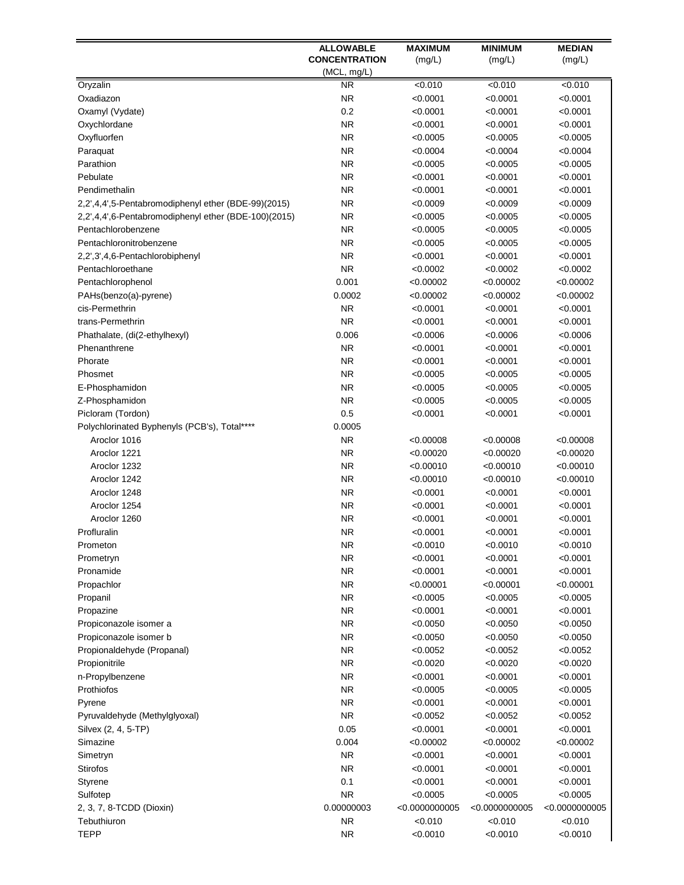|                                                      | <b>ALLOWABLE</b>       | <b>MAXIMUM</b>       | <b>MINIMUM</b>       | <b>MEDIAN</b>        |
|------------------------------------------------------|------------------------|----------------------|----------------------|----------------------|
|                                                      | <b>CONCENTRATION</b>   | (mg/L)               | (mg/L)               | (mg/L)               |
|                                                      | (MCL, mg/L)            |                      |                      |                      |
| Oryzalin                                             | <b>NR</b>              | $\sqrt{0.010}$       | < 0.010              | < 0.010              |
| Oxadiazon                                            | <b>NR</b>              | < 0.0001             | < 0.0001             | < 0.0001             |
| Oxamyl (Vydate)                                      | 0.2                    | < 0.0001             | < 0.0001             | < 0.0001             |
| Oxychlordane                                         | <b>NR</b>              | < 0.0001             | < 0.0001             | < 0.0001             |
| Oxyfluorfen                                          | <b>NR</b>              | < 0.0005             | < 0.0005             | < 0.0005             |
| Paraquat                                             | <b>NR</b>              | < 0.0004             | < 0.0004             | < 0.0004             |
| Parathion                                            | <b>NR</b>              | < 0.0005             | < 0.0005             | < 0.0005             |
| Pebulate                                             | <b>NR</b>              | < 0.0001             | < 0.0001             | < 0.0001             |
| Pendimethalin                                        | <b>NR</b>              | <0.0001              | < 0.0001             | < 0.0001             |
| 2,2',4,4',5-Pentabromodiphenyl ether (BDE-99)(2015)  | <b>NR</b>              | <0.0009              | < 0.0009             | < 0.0009             |
| 2,2',4,4',6-Pentabromodiphenyl ether (BDE-100)(2015) | <b>NR</b>              | < 0.0005             | < 0.0005             | < 0.0005             |
| Pentachlorobenzene                                   | <b>NR</b>              | < 0.0005             | < 0.0005             | < 0.0005             |
| Pentachloronitrobenzene                              | <b>NR</b>              | < 0.0005             | < 0.0005             | < 0.0005             |
| 2,2',3',4,6-Pentachlorobiphenyl                      | <b>NR</b>              | < 0.0001             | < 0.0001             | < 0.0001             |
| Pentachloroethane                                    | <b>NR</b>              | < 0.0002             | < 0.0002             | < 0.0002             |
| Pentachlorophenol                                    | 0.001                  | < 0.00002            | < 0.00002            | < 0.00002            |
| PAHs(benzo(a)-pyrene)                                | 0.0002                 | < 0.00002            | < 0.00002            | < 0.00002            |
| cis-Permethrin                                       | <b>NR</b>              | < 0.0001             | < 0.0001             | < 0.0001             |
| trans-Permethrin                                     | <b>NR</b>              | < 0.0001             | < 0.0001             | < 0.0001             |
| Phathalate, (di(2-ethylhexyl)                        | 0.006                  | < 0.0006             | < 0.0006             | < 0.0006             |
| Phenanthrene                                         | <b>NR</b>              | < 0.0001             | < 0.0001             | < 0.0001             |
| Phorate                                              | <b>NR</b><br><b>NR</b> | < 0.0001             | < 0.0001             | < 0.0001             |
| Phosmet                                              |                        | < 0.0005             | < 0.0005             | < 0.0005             |
| E-Phosphamidon                                       | <b>NR</b><br><b>NR</b> | < 0.0005             | < 0.0005             | < 0.0005             |
| Z-Phosphamidon<br>Picloram (Tordon)                  | 0.5                    | < 0.0005<br>< 0.0001 | < 0.0005<br>< 0.0001 | < 0.0005<br>< 0.0001 |
| Polychlorinated Byphenyls (PCB's), Total****         | 0.0005                 |                      |                      |                      |
| Aroclor 1016                                         | <b>NR</b>              | < 0.00008            | < 0.00008            | < 0.00008            |
| Aroclor 1221                                         | <b>NR</b>              | < 0.00020            | < 0.00020            | < 0.00020            |
| Aroclor 1232                                         | <b>NR</b>              | < 0.00010            | < 0.00010            | < 0.00010            |
| Aroclor 1242                                         | <b>NR</b>              | < 0.00010            | < 0.00010            | < 0.00010            |
| Aroclor 1248                                         | <b>NR</b>              | < 0.0001             | < 0.0001             | < 0.0001             |
| Aroclor 1254                                         | <b>NR</b>              | < 0.0001             | < 0.0001             | < 0.0001             |
| Aroclor 1260                                         | <b>NR</b>              | <0.0001              | < 0.0001             | < 0.0001             |
| Profluralin                                          | <b>NR</b>              | < 0.0001             | < 0.0001             | < 0.0001             |
| Prometon                                             | NR.                    | <0.0010              | <0.0010              | < 0.0010             |
| Prometryn                                            | <b>NR</b>              | < 0.0001             | < 0.0001             | < 0.0001             |
| Pronamide                                            | <b>NR</b>              | < 0.0001             | < 0.0001             | < 0.0001             |
| Propachlor                                           | <b>NR</b>              | < 0.00001            | < 0.00001            | < 0.00001            |
| Propanil                                             | <b>NR</b>              | < 0.0005             | < 0.0005             | < 0.0005             |
| Propazine                                            | <b>NR</b>              | < 0.0001             | < 0.0001             | < 0.0001             |
| Propiconazole isomer a                               | <b>NR</b>              | <0.0050              | < 0.0050             | < 0.0050             |
| Propiconazole isomer b                               | <b>NR</b>              | <0.0050              | < 0.0050             | < 0.0050             |
| Propionaldehyde (Propanal)                           | <b>NR</b>              | < 0.0052             | < 0.0052             | < 0.0052             |
| Propionitrile                                        | <b>NR</b>              | < 0.0020             | < 0.0020             | < 0.0020             |
| n-Propylbenzene                                      | <b>NR</b>              | < 0.0001             | < 0.0001             | < 0.0001             |
| Prothiofos                                           | ΝR                     | < 0.0005             | < 0.0005             | < 0.0005             |
| Pyrene                                               | ΝR                     | < 0.0001             | < 0.0001             | < 0.0001             |
| Pyruvaldehyde (Methylglyoxal)                        | <b>NR</b>              | < 0.0052             | < 0.0052             | < 0.0052             |
| Silvex (2, 4, 5-TP)                                  | 0.05                   | < 0.0001             | < 0.0001             | < 0.0001             |
| Simazine                                             | 0.004                  | < 0.00002            | < 0.00002            | < 0.00002            |
| Simetryn                                             | <b>NR</b>              | < 0.0001             | < 0.0001             | < 0.0001             |
| <b>Stirofos</b>                                      | <b>NR</b>              | < 0.0001             | < 0.0001             | < 0.0001             |
| Styrene                                              | 0.1                    | < 0.0001             | < 0.0001             | < 0.0001             |
| Sulfotep                                             | <b>NR</b>              | < 0.0005             | < 0.0005             | < 0.0005             |
| 2, 3, 7, 8-TCDD (Dioxin)                             | 0.00000003             | < 0.0000000005       | < 0.0000000005       | < 0.0000000005       |
| Tebuthiuron                                          | <b>NR</b>              | < 0.010              | < 0.010              | < 0.010              |
| <b>TEPP</b>                                          | <b>NR</b>              | < 0.0010             | < 0.0010             | < 0.0010             |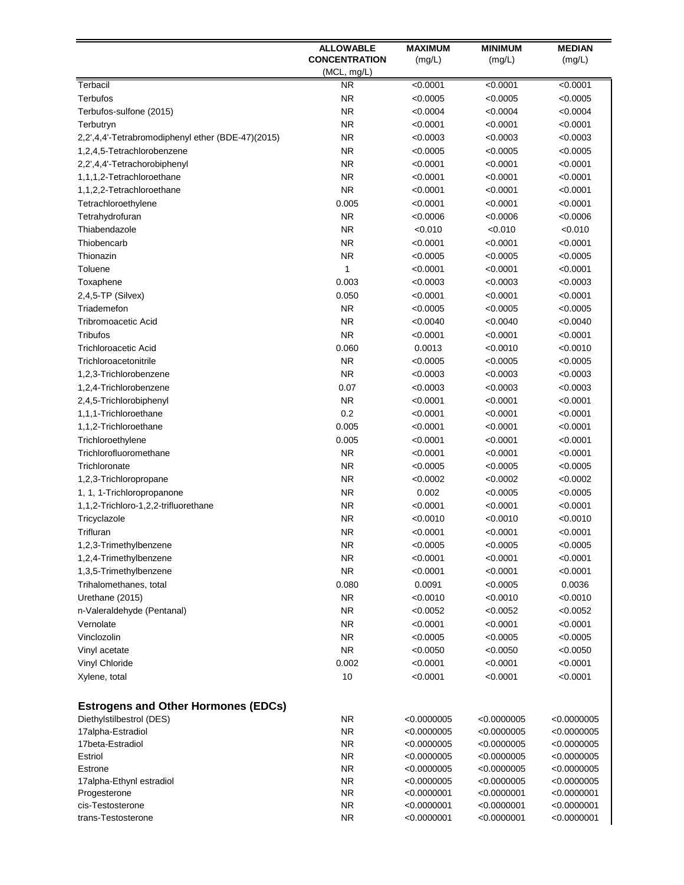|                                                   | <b>ALLOWABLE</b>     | <b>MAXIMUM</b> | <b>MINIMUM</b> | <b>MEDIAN</b> |
|---------------------------------------------------|----------------------|----------------|----------------|---------------|
|                                                   | <b>CONCENTRATION</b> | (mg/L)         | (mg/L)         | (mg/L)        |
|                                                   | (MCL, mg/L)          |                |                |               |
| Terbacil                                          | <b>NR</b>            | < 0.0001       | < 0.0001       | < 0.0001      |
| <b>Terbufos</b>                                   | <b>NR</b>            | < 0.0005       | < 0.0005       | < 0.0005      |
| Terbufos-sulfone (2015)                           | <b>NR</b>            | < 0.0004       | < 0.0004       | < 0.0004      |
| Terbutryn                                         | <b>NR</b>            | < 0.0001       | < 0.0001       | < 0.0001      |
| 2,2',4,4'-Tetrabromodiphenyl ether (BDE-47)(2015) | <b>NR</b>            | < 0.0003       | < 0.0003       | < 0.0003      |
| 1,2,4,5-Tetrachlorobenzene                        | <b>NR</b>            | < 0.0005       | < 0.0005       | < 0.0005      |
| 2,2',4,4'-Tetrachorobiphenyl                      | <b>NR</b>            | < 0.0001       | < 0.0001       | < 0.0001      |
| 1,1,1,2-Tetrachloroethane                         | <b>NR</b>            | < 0.0001       | < 0.0001       | < 0.0001      |
| 1,1,2,2-Tetrachloroethane                         | <b>NR</b>            | < 0.0001       | < 0.0001       | < 0.0001      |
| Tetrachloroethylene                               | 0.005                | < 0.0001       | < 0.0001       | < 0.0001      |
| Tetrahydrofuran                                   | <b>NR</b>            | < 0.0006       | < 0.0006       | < 0.0006      |
| Thiabendazole                                     | <b>NR</b>            | < 0.010        | < 0.010        | < 0.010       |
| Thiobencarb                                       | <b>NR</b>            | < 0.0001       | < 0.0001       | < 0.0001      |
| Thionazin                                         | <b>NR</b>            | < 0.0005       | < 0.0005       | < 0.0005      |
| Toluene                                           | 1                    | < 0.0001       | < 0.0001       | < 0.0001      |
| Toxaphene                                         | 0.003                | < 0.0003       | < 0.0003       | < 0.0003      |
| 2,4,5-TP (Silvex)                                 | 0.050                | < 0.0001       | < 0.0001       | < 0.0001      |
| Triademefon                                       | <b>NR</b>            | < 0.0005       | < 0.0005       | < 0.0005      |
| <b>Tribromoacetic Acid</b>                        | <b>NR</b>            | < 0.0040       | < 0.0040       | < 0.0040      |
| Tribufos                                          | <b>NR</b>            | < 0.0001       | < 0.0001       | < 0.0001      |
| <b>Trichloroacetic Acid</b>                       | 0.060                | 0.0013         | < 0.0010       | < 0.0010      |
| Trichloroacetonitrile                             | <b>NR</b>            | < 0.0005       | < 0.0005       | < 0.0005      |
| 1,2,3-Trichlorobenzene                            | <b>NR</b>            | < 0.0003       | < 0.0003       | < 0.0003      |
| 1,2,4-Trichlorobenzene                            | 0.07                 | < 0.0003       | < 0.0003       | < 0.0003      |
| 2,4,5-Trichlorobiphenyl                           | <b>NR</b>            | < 0.0001       | < 0.0001       | < 0.0001      |
| 1,1,1-Trichloroethane                             | 0.2                  | < 0.0001       | < 0.0001       | < 0.0001      |
| 1,1,2-Trichloroethane                             | 0.005                | < 0.0001       | < 0.0001       | < 0.0001      |
| Trichloroethylene                                 | 0.005                | < 0.0001       | < 0.0001       | < 0.0001      |
| Trichlorofluoromethane                            | <b>NR</b>            | < 0.0001       | < 0.0001       | < 0.0001      |
| Trichloronate                                     | <b>NR</b>            | < 0.0005       | < 0.0005       | < 0.0005      |
| 1,2,3-Trichloropropane                            | <b>NR</b>            | < 0.0002       | < 0.0002       | < 0.0002      |
| 1, 1, 1-Trichloropropanone                        | <b>NR</b>            | 0.002          | < 0.0005       | < 0.0005      |
| 1,1,2-Trichloro-1,2,2-trifluorethane              | <b>NR</b>            | < 0.0001       | < 0.0001       | < 0.0001      |
| Tricyclazole                                      | <b>NR</b>            | < 0.0010       | < 0.0010       | < 0.0010      |
| Trifluran                                         | <b>NR</b>            | < 0.0001       | < 0.0001       | < 0.0001      |
| 1,2,3-Trimethylbenzene                            | NR.                  | < 0.0005       | <0.0005        | <0.0005       |
| 1,2,4-Trimethylbenzene                            | <b>NR</b>            | < 0.0001       | < 0.0001       | < 0.0001      |
| 1,3,5-Trimethylbenzene                            | <b>NR</b>            | < 0.0001       | < 0.0001       | < 0.0001      |
| Trihalomethanes, total                            | 0.080                | 0.0091         | < 0.0005       | 0.0036        |
| Urethane (2015)                                   | <b>NR</b>            | < 0.0010       | < 0.0010       | < 0.0010      |
| n-Valeraldehyde (Pentanal)                        | <b>NR</b>            | < 0.0052       | < 0.0052       | < 0.0052      |
| Vernolate                                         | <b>NR</b>            | < 0.0001       | < 0.0001       | < 0.0001      |
| Vinclozolin                                       | <b>NR</b>            | < 0.0005       | < 0.0005       | < 0.0005      |
| Vinyl acetate                                     | <b>NR</b>            | < 0.0050       | < 0.0050       | < 0.0050      |
| Vinyl Chloride                                    | 0.002                | < 0.0001       | < 0.0001       | < 0.0001      |
| Xylene, total                                     | 10                   | < 0.0001       | < 0.0001       | < 0.0001      |
|                                                   |                      |                |                |               |
| <b>Estrogens and Other Hormones (EDCs)</b>        |                      |                |                |               |
| Diethylstilbestrol (DES)                          | <b>NR</b>            | < 0.0000005    | < 0.0000005    | < 0.0000005   |
| 17alpha-Estradiol                                 | <b>NR</b>            | < 0.0000005    | < 0.0000005    | < 0.0000005   |
| 17beta-Estradiol                                  | <b>NR</b>            | < 0.0000005    | < 0.0000005    | < 0.0000005   |
| Estriol                                           | <b>NR</b>            | < 0.0000005    | < 0.0000005    | < 0.0000005   |
| Estrone                                           | NR.                  | < 0.0000005    | < 0.0000005    | < 0.0000005   |
| 17alpha-Ethynl estradiol                          | <b>NR</b>            | < 0.0000005    | < 0.0000005    | < 0.0000005   |
| Progesterone                                      | <b>NR</b>            | < 0.0000001    | < 0.0000001    | < 0.0000001   |
| cis-Testosterone                                  | <b>NR</b>            | < 0.0000001    | < 0.0000001    | < 0.0000001   |
| trans-Testosterone                                | <b>NR</b>            | < 0.0000001    | < 0.0000001    | < 0.0000001   |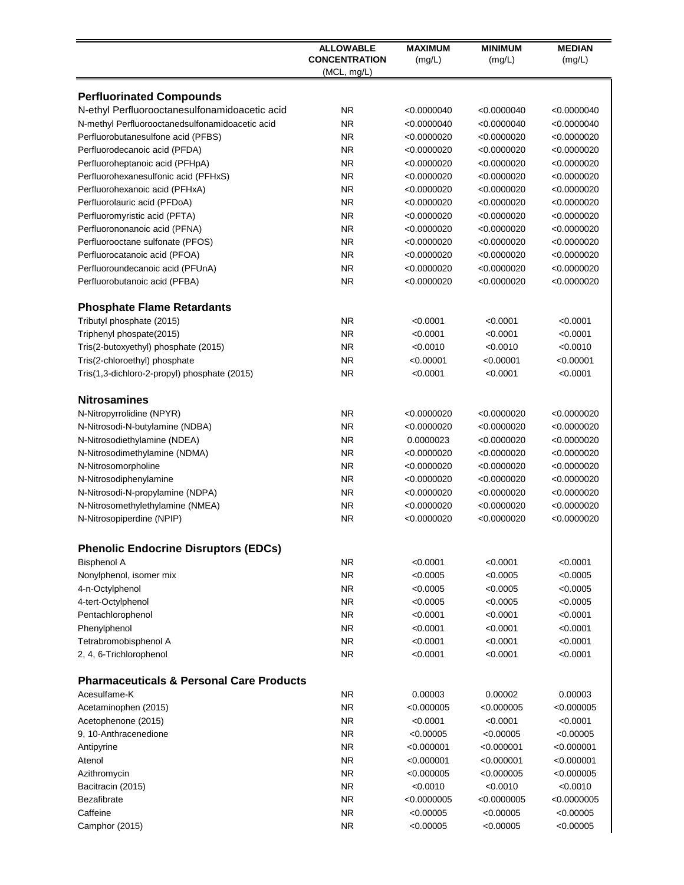|                                                                      | <b>ALLOWABLE</b>                    | <b>MAXIMUM</b>             | <b>MINIMUM</b>             | <b>MEDIAN</b>              |
|----------------------------------------------------------------------|-------------------------------------|----------------------------|----------------------------|----------------------------|
|                                                                      | <b>CONCENTRATION</b><br>(MCL, mq/L) | (mg/L)                     | (mg/L)                     | (mg/L)                     |
| <b>Perfluorinated Compounds</b>                                      |                                     |                            |                            |                            |
| N-ethyl Perfluorooctanesulfonamidoacetic acid                        | <b>NR</b>                           | < 0.0000040                | < 0.0000040                | < 0.0000040                |
| N-methyl Perfluorooctanedsulfonamidoacetic acid                      | NR.                                 | < 0.0000040                | < 0.0000040                | < 0.0000040                |
| Perfluorobutanesulfone acid (PFBS)                                   | <b>NR</b>                           | < 0.0000020                | < 0.0000020                | < 0.0000020                |
| Perfluorodecanoic acid (PFDA)                                        | <b>NR</b>                           | < 0.0000020                | < 0.0000020                | < 0.0000020                |
| Perfluoroheptanoic acid (PFHpA)                                      | <b>NR</b>                           | <0.0000020                 | < 0.0000020                | < 0.0000020                |
| Perfluorohexanesulfonic acid (PFHxS)                                 | <b>NR</b>                           | < 0.0000020                | < 0.0000020                | < 0.0000020                |
| Perfluorohexanoic acid (PFHxA)                                       | <b>NR</b>                           | < 0.0000020                | < 0.0000020                | < 0.0000020                |
| Perfluorolauric acid (PFDoA)                                         | <b>NR</b>                           | < 0.0000020                | < 0.0000020                | < 0.0000020                |
| Perfluoromyristic acid (PFTA)                                        | <b>NR</b>                           | < 0.0000020                | < 0.0000020                | < 0.0000020                |
| Perfluorononanoic acid (PFNA)                                        | <b>NR</b>                           | <0.0000020                 | < 0.0000020                | < 0.0000020                |
| Perfluorooctane sulfonate (PFOS)                                     | <b>NR</b>                           | < 0.0000020                | < 0.0000020                | < 0.0000020                |
| Perfluorocatanoic acid (PFOA)                                        | <b>NR</b>                           | <0.0000020                 | < 0.0000020                | < 0.0000020                |
| Perfluoroundecanoic acid (PFUnA)                                     | <b>NR</b>                           | < 0.0000020                | < 0.0000020                | < 0.0000020                |
| Perfluorobutanoic acid (PFBA)                                        | <b>NR</b>                           | < 0.0000020                | < 0.0000020                | < 0.0000020                |
| <b>Phosphate Flame Retardants</b>                                    |                                     |                            |                            |                            |
| Tributyl phosphate (2015)                                            | <b>NR</b>                           | < 0.0001                   | < 0.0001                   | < 0.0001                   |
| Triphenyl phospate(2015)                                             | <b>NR</b>                           | < 0.0001                   | < 0.0001                   | < 0.0001                   |
| Tris(2-butoxyethyl) phosphate (2015)                                 | <b>NR</b>                           | < 0.0010                   | < 0.0010                   | < 0.0010                   |
| Tris(2-chloroethyl) phosphate                                        | <b>NR</b>                           | < 0.00001                  | < 0.00001                  | < 0.00001                  |
| Tris(1,3-dichloro-2-propyl) phosphate (2015)                         | <b>NR</b>                           | < 0.0001                   | < 0.0001                   | < 0.0001                   |
| <b>Nitrosamines</b>                                                  |                                     |                            |                            |                            |
| N-Nitropyrrolidine (NPYR)                                            | <b>NR</b>                           | < 0.0000020                | < 0.0000020                | < 0.0000020                |
| N-Nitrosodi-N-butylamine (NDBA)                                      | <b>NR</b>                           | < 0.0000020                | < 0.0000020                | < 0.0000020                |
| N-Nitrosodiethylamine (NDEA)                                         | <b>NR</b>                           | 0.0000023                  | < 0.0000020                | < 0.0000020                |
| N-Nitrosodimethylamine (NDMA)                                        | <b>NR</b>                           | <0.0000020                 | < 0.0000020                | < 0.0000020                |
| N-Nitrosomorpholine                                                  | <b>NR</b>                           | < 0.0000020                | < 0.0000020                | < 0.0000020                |
| N-Nitrosodiphenylamine                                               | <b>NR</b>                           | < 0.0000020                | < 0.0000020                | < 0.0000020                |
| N-Nitrosodi-N-propylamine (NDPA)<br>N-Nitrosomethylethylamine (NMEA) | <b>NR</b><br><b>NR</b>              | < 0.0000020<br>< 0.0000020 | < 0.0000020                | < 0.0000020<br>< 0.0000020 |
| N-Nitrosopiperdine (NPIP)                                            | <b>NR</b>                           | < 0.0000020                | < 0.0000020<br>< 0.0000020 | < 0.0000020                |
|                                                                      |                                     |                            |                            |                            |
| <b>Phenolic Endocrine Disruptors (EDCs)</b>                          |                                     |                            |                            |                            |
| <b>Bisphenol A</b>                                                   | <b>NR</b>                           | < 0.0001                   | < 0.0001                   | < 0.0001                   |
| Nonylphenol, isomer mix                                              | <b>NR</b>                           | < 0.0005                   | < 0.0005                   | < 0.0005                   |
| 4-n-Octylphenol                                                      | <b>NR</b>                           | < 0.0005                   | < 0.0005                   | < 0.0005                   |
| 4-tert-Octylphenol                                                   | <b>NR</b>                           | < 0.0005                   | < 0.0005                   | < 0.0005                   |
| Pentachlorophenol                                                    | <b>NR</b>                           | < 0.0001                   | < 0.0001                   | < 0.0001                   |
| Phenylphenol                                                         | <b>NR</b>                           | < 0.0001                   | < 0.0001                   | < 0.0001                   |
| Tetrabromobisphenol A                                                | <b>NR</b>                           | < 0.0001                   | < 0.0001                   | < 0.0001                   |
| 2, 4, 6-Trichlorophenol                                              | <b>NR</b>                           | < 0.0001                   | < 0.0001                   | < 0.0001                   |
| <b>Pharmaceuticals &amp; Personal Care Products</b>                  |                                     |                            |                            |                            |
| Acesulfame-K                                                         | <b>NR</b>                           | 0.00003                    | 0.00002                    | 0.00003                    |
| Acetaminophen (2015)                                                 | <b>NR</b>                           | < 0.000005                 | < 0.000005                 | < 0.000005                 |
| Acetophenone (2015)                                                  | <b>NR</b>                           | < 0.0001                   | < 0.0001                   | < 0.0001                   |
| 9, 10-Anthracenedione                                                | <b>NR</b>                           | < 0.00005                  | < 0.00005                  | < 0.00005                  |
| Antipyrine                                                           | <b>NR</b>                           | < 0.000001                 | < 0.000001                 | < 0.000001                 |
| Atenol                                                               | <b>NR</b>                           | < 0.000001                 | < 0.000001                 | < 0.000001                 |
| Azithromycin                                                         | <b>NR</b>                           | < 0.000005                 | < 0.000005                 | < 0.000005                 |
| Bacitracin (2015)                                                    | <b>NR</b><br><b>NR</b>              | < 0.0010                   | < 0.0010                   | < 0.0010                   |
| <b>Bezafibrate</b><br>Caffeine                                       | <b>NR</b>                           | < 0.0000005<br>< 0.00005   | < 0.0000005<br>< 0.00005   | < 0.0000005                |
| Camphor (2015)                                                       | <b>NR</b>                           | < 0.00005                  | < 0.00005                  | < 0.00005<br>< 0.00005     |
|                                                                      |                                     |                            |                            |                            |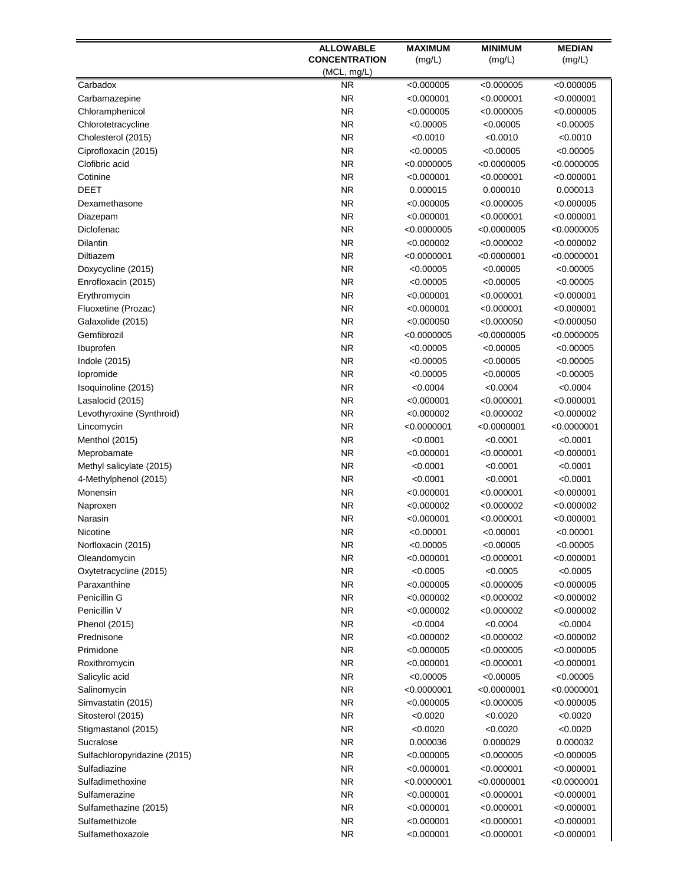|                              | <b>ALLOWABLE</b>     | <b>MAXIMUM</b> | <b>MINIMUM</b> | <b>MEDIAN</b> |
|------------------------------|----------------------|----------------|----------------|---------------|
|                              | <b>CONCENTRATION</b> | (mg/L)         | (mg/L)         | (mg/L)        |
|                              | (MCL, mg/L)          |                |                |               |
| Carbadox                     | <b>NR</b>            | < 0.000005     | < 0.000005     | < 0.000005    |
| Carbamazepine                | <b>NR</b>            | < 0.000001     | < 0.000001     | < 0.000001    |
| Chloramphenicol              | <b>NR</b>            | < 0.000005     | < 0.000005     | < 0.000005    |
| Chlorotetracycline           | <b>NR</b>            | < 0.00005      | < 0.00005      | < 0.00005     |
| Cholesterol (2015)           | <b>NR</b>            | < 0.0010       | < 0.0010       | < 0.0010      |
| Ciprofloxacin (2015)         | <b>NR</b>            | < 0.00005      | < 0.00005      | < 0.00005     |
| Clofibric acid               | NR.                  | < 0.0000005    | < 0.0000005    | < 0.0000005   |
| Cotinine                     | NR.                  | $<$ 0.000001   | < 0.000001     | < 0.000001    |
| <b>DEET</b>                  | NR.                  | 0.000015       | 0.000010       | 0.000013      |
| Dexamethasone                | <b>NR</b>            | <0.000005      | < 0.000005     | < 0.000005    |
| Diazepam                     | <b>NR</b>            | < 0.000001     | < 0.000001     | < 0.000001    |
| Diclofenac                   | <b>NR</b>            | < 0.0000005    | < 0.0000005    | < 0.0000005   |
| <b>Dilantin</b>              | <b>NR</b>            | < 0.000002     | < 0.000002     | < 0.000002    |
| Diltiazem                    | NR.                  | < 0.0000001    | < 0.0000001    | < 0.0000001   |
| Doxycycline (2015)           | NR.                  | < 0.00005      | < 0.00005      | <0.00005      |
| Enrofloxacin (2015)          | NR.                  | < 0.00005      | < 0.00005      | < 0.00005     |
| Erythromycin                 | <b>NR</b>            | < 0.000001     | <0.000001      | < 0.000001    |
| Fluoxetine (Prozac)          | <b>NR</b>            | < 0.000001     | < 0.000001     | < 0.000001    |
| Galaxolide (2015)            | <b>NR</b>            | < 0.000050     | < 0.000050     | < 0.000050    |
| Gemfibrozil                  | <b>NR</b>            | < 0.0000005    | < 0.0000005    | < 0.0000005   |
| Ibuprofen                    | <b>NR</b>            | < 0.00005      | < 0.00005      | < 0.00005     |
| Indole (2015)                | <b>NR</b>            | < 0.00005      | < 0.00005      | < 0.00005     |
| lopromide                    | <b>NR</b>            | < 0.00005      | < 0.00005      | < 0.00005     |
| Isoquinoline (2015)          | <b>NR</b>            | < 0.0004       | < 0.0004       | < 0.0004      |
| Lasalocid (2015)             | <b>NR</b>            | < 0.000001     | < 0.000001     | < 0.000001    |
| Levothyroxine (Synthroid)    | <b>NR</b>            | < 0.000002     | < 0.000002     | < 0.000002    |
| Lincomycin                   | <b>NR</b>            | < 0.0000001    | < 0.0000001    | < 0.0000001   |
| Menthol (2015)               | <b>NR</b>            | < 0.0001       | < 0.0001       | < 0.0001      |
| Meprobamate                  | <b>NR</b>            | $<$ 0.000001   | < 0.000001     | < 0.000001    |
| Methyl salicylate (2015)     | <b>NR</b>            | < 0.0001       | < 0.0001       | < 0.0001      |
| 4-Methylphenol (2015)        | <b>NR</b>            | < 0.0001       | < 0.0001       | < 0.0001      |
| Monensin                     | <b>NR</b>            | < 0.000001     | < 0.000001     | < 0.000001    |
| Naproxen                     | <b>NR</b>            | < 0.000002     | < 0.000002     | < 0.000002    |
| Narasin                      | NR.                  | < 0.000001     | <0.000001      | < 0.000001    |
| Nicotine                     | NR.                  | < 0.00001      | < 0.00001      | < 0.00001     |
| Norfloxacin (2015)           | NR.                  | < 0.00005      | <0.00005       | <0.00005      |
| Oleandomycin                 | <b>NR</b>            | <0.000001      | < 0.000001     | < 0.000001    |
| Oxytetracycline (2015)       | <b>NR</b>            | < 0.0005       | < 0.0005       | < 0.0005      |
| Paraxanthine                 | <b>NR</b>            | < 0.000005     | <0.000005      | < 0.000005    |
| Penicillin G                 | <b>NR</b>            | < 0.000002     | <0.000002      | < 0.000002    |
| Penicillin V                 | <b>NR</b>            | < 0.000002     | <0.000002      | < 0.000002    |
| Phenol (2015)                | <b>NR</b>            | < 0.0004       | < 0.0004       | < 0.0004      |
| Prednisone                   | <b>NR</b>            | <0.000002      | < 0.000002     | < 0.000002    |
| Primidone                    | <b>NR</b>            | < 0.000005     | < 0.000005     | < 0.000005    |
| Roxithromycin                | <b>NR</b>            | < 0.000001     | <0.000001      | < 0.000001    |
| Salicylic acid               | <b>NR</b>            | < 0.00005      | < 0.00005      | < 0.00005     |
| Salinomycin                  | <b>NR</b>            | <0.0000001     | < 0.0000001    | < 0.0000001   |
| Simvastatin (2015)           | <b>NR</b>            | <0.000005      | < 0.000005     | < 0.000005    |
| Sitosterol (2015)            | <b>NR</b>            | < 0.0020       | < 0.0020       | < 0.0020      |
| Stigmastanol (2015)          | <b>NR</b>            | < 0.0020       | < 0.0020       | < 0.0020      |
| Sucralose                    | <b>NR</b>            | 0.000036       | 0.000029       | 0.000032      |
| Sulfachloropyridazine (2015) | <b>NR</b>            | < 0.000005     | < 0.000005     | < 0.000005    |
| Sulfadiazine                 | <b>NR</b>            | < 0.000001     | < 0.000001     | < 0.000001    |
| Sulfadimethoxine             | <b>NR</b>            | < 0.0000001    | < 0.0000001    | < 0.0000001   |
| Sulfamerazine                | <b>NR</b>            | < 0.000001     | < 0.000001     | < 0.000001    |
| Sulfamethazine (2015)        | <b>NR</b>            | < 0.000001     | < 0.000001     | < 0.000001    |
| Sulfamethizole               | <b>NR</b>            | < 0.000001     | < 0.000001     | < 0.000001    |
| Sulfamethoxazole             | <b>NR</b>            | < 0.000001     | < 0.000001     | < 0.000001    |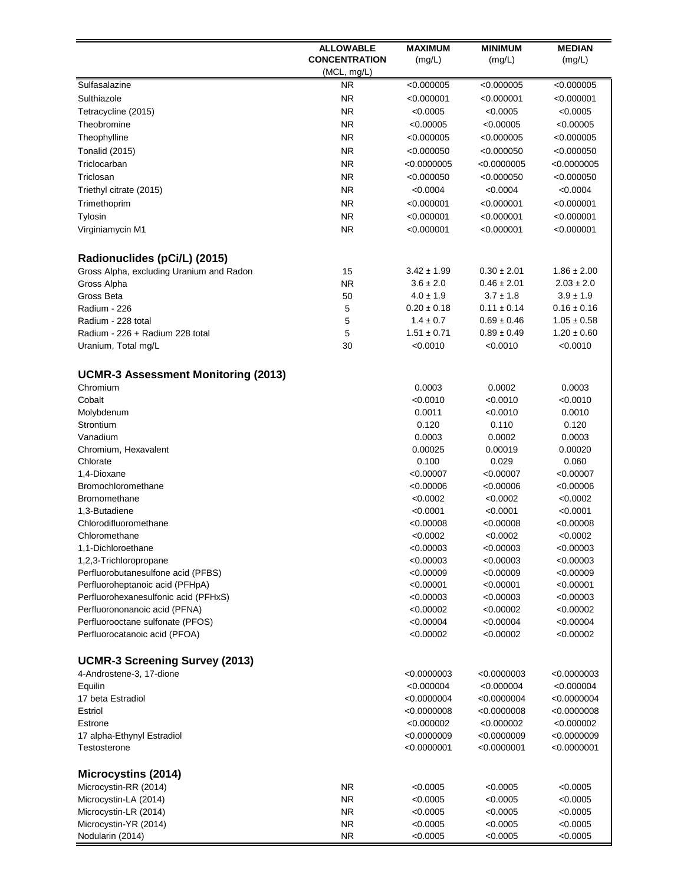|                                                              | <b>ALLOWABLE</b>     | <b>MAXIMUM</b>         | <b>MINIMUM</b>         | <b>MEDIAN</b>          |
|--------------------------------------------------------------|----------------------|------------------------|------------------------|------------------------|
|                                                              | <b>CONCENTRATION</b> | (mg/L)                 | (mg/L)                 | (mg/L)                 |
|                                                              | (MCL, mg/L)          |                        |                        |                        |
| Sulfasalazine                                                | ΝR                   | < 0.000005             | < 0.000005             | < 0.000005             |
| Sulthiazole                                                  | <b>NR</b>            | < 0.000001             | < 0.000001             | < 0.000001             |
| Tetracycline (2015)                                          | <b>NR</b>            | < 0.0005               | < 0.0005               | < 0.0005               |
| Theobromine                                                  | <b>NR</b>            | < 0.00005              | < 0.00005              | < 0.00005              |
| Theophylline                                                 | <b>NR</b>            | < 0.000005             | < 0.000005             | < 0.000005             |
| <b>Tonalid (2015)</b>                                        | <b>NR</b>            | < 0.000050             | < 0.000050             | < 0.000050             |
| Triclocarban                                                 | <b>NR</b>            | < 0.0000005            | < 0.0000005            | < 0.0000005            |
| Triclosan                                                    | <b>NR</b>            | < 0.000050             | < 0.000050             | < 0.000050             |
| Triethyl citrate (2015)                                      | <b>NR</b>            | < 0.0004               | < 0.0004               | < 0.0004               |
| Trimethoprim                                                 | <b>NR</b>            | < 0.000001             | < 0.000001             | < 0.000001             |
| Tylosin                                                      | <b>NR</b>            | < 0.000001             | < 0.000001             | < 0.000001             |
| Virginiamycin M1                                             | <b>NR</b>            | < 0.000001             | < 0.000001             | < 0.000001             |
| Radionuclides (pCi/L) (2015)                                 |                      |                        |                        |                        |
| Gross Alpha, excluding Uranium and Radon                     | 15                   | $3.42 \pm 1.99$        | $0.30 \pm 2.01$        | $1.86 \pm 2.00$        |
| Gross Alpha                                                  | <b>NR</b>            | $3.6 \pm 2.0$          | $0.46 \pm 2.01$        | $2.03 \pm 2.0$         |
| Gross Beta                                                   | 50                   | $4.0 \pm 1.9$          | $3.7 \pm 1.8$          | $3.9 \pm 1.9$          |
| Radium - 226                                                 | 5                    | $0.20 \pm 0.18$        | $0.11 \pm 0.14$        | $0.16 \pm 0.16$        |
| Radium - 228 total                                           | 5                    | $1.4 \pm 0.7$          | $0.69 \pm 0.46$        | $1.05 \pm 0.58$        |
| Radium - 226 + Radium 228 total                              | 5                    | $1.51 \pm 0.71$        | $0.89 \pm 0.49$        | $1.20 \pm 0.60$        |
| Uranium, Total mg/L                                          | 30                   | < 0.0010               | < 0.0010               | < 0.0010               |
| <b>UCMR-3 Assessment Monitoring (2013)</b>                   |                      |                        |                        |                        |
| Chromium                                                     |                      | 0.0003                 | 0.0002                 | 0.0003                 |
| Cobalt                                                       |                      | < 0.0010               | < 0.0010               | < 0.0010               |
| Molybdenum                                                   |                      | 0.0011                 | < 0.0010               | 0.0010                 |
| Strontium                                                    |                      | 0.120                  | 0.110                  | 0.120                  |
| Vanadium                                                     |                      | 0.0003                 | 0.0002                 | 0.0003                 |
| Chromium, Hexavalent                                         |                      | 0.00025                | 0.00019                | 0.00020                |
| Chlorate                                                     |                      | 0.100                  | 0.029                  | 0.060                  |
| 1,4-Dioxane                                                  |                      | < 0.00007              | < 0.00007              | < 0.00007              |
| Bromochloromethane                                           |                      | < 0.00006              | < 0.00006              | < 0.00006              |
| Bromomethane                                                 |                      | < 0.0002               | < 0.0002               | < 0.0002               |
| 1.3-Butadiene                                                |                      | < 0.0001               | < 0.0001               | < 0.0001               |
| Chlorodifluoromethane                                        |                      | < 0.00008              | < 0.00008              | < 0.00008              |
| Chloromethane                                                |                      | < 0.0002               | < 0.0002               | < 0.0002               |
| 1,1-Dichloroethane                                           |                      | < 0.00003<br>< 0.00003 | < 0.00003<br>< 0.00003 | < 0.00003<br>< 0.00003 |
| 1,2,3-Trichloropropane<br>Perfluorobutanesulfone acid (PFBS) |                      | < 0.00009              | < 0.00009              | < 0.00009              |
| Perfluoroheptanoic acid (PFHpA)                              |                      | < 0.00001              | < 0.00001              | < 0.00001              |
| Perfluorohexanesulfonic acid (PFHxS)                         |                      | < 0.00003              | < 0.00003              | < 0.00003              |
| Perfluorononanoic acid (PFNA)                                |                      | < 0.00002              | < 0.00002              | < 0.00002              |
| Perfluorooctane sulfonate (PFOS)                             |                      | < 0.00004              | < 0.00004              | < 0.00004              |
| Perfluorocatanoic acid (PFOA)                                |                      | < 0.00002              | < 0.00002              | < 0.00002              |
| <b>UCMR-3 Screening Survey (2013)</b>                        |                      |                        |                        |                        |
| 4-Androstene-3, 17-dione                                     |                      | < 0.0000003            | < 0.0000003            | <0.0000003             |
| Equilin                                                      |                      | < 0.000004             | < 0.000004             | < 0.000004             |
| 17 beta Estradiol                                            |                      | < 0.0000004            | < 0.0000004            | <0.0000004             |
| Estriol                                                      |                      | < 0.0000008            | < 0.0000008            | <0.0000008             |
| Estrone                                                      |                      | < 0.000002             | < 0.000002             | <0.000002              |
| 17 alpha-Ethynyl Estradiol                                   |                      | < 0.0000009            | < 0.0000009            | < 0.0000009            |
| Testosterone                                                 |                      | < 0.0000001            | < 0.0000001            | $<$ 0.0000001          |
| <b>Microcystins (2014)</b>                                   |                      |                        |                        |                        |
| Microcystin-RR (2014)                                        | ΝR                   | < 0.0005               | < 0.0005               | <0.0005                |
| Microcystin-LA (2014)                                        | NR.                  | < 0.0005               | < 0.0005               | <0.0005                |
| Microcystin-LR (2014)                                        | <b>NR</b>            | < 0.0005               | < 0.0005               | <0.0005                |
| Microcystin-YR (2014)                                        | <b>NR</b>            | < 0.0005               | < 0.0005               | < 0.0005               |
| Nodularin (2014)                                             | <b>NR</b>            | < 0.0005               | < 0.0005               | < 0.0005               |